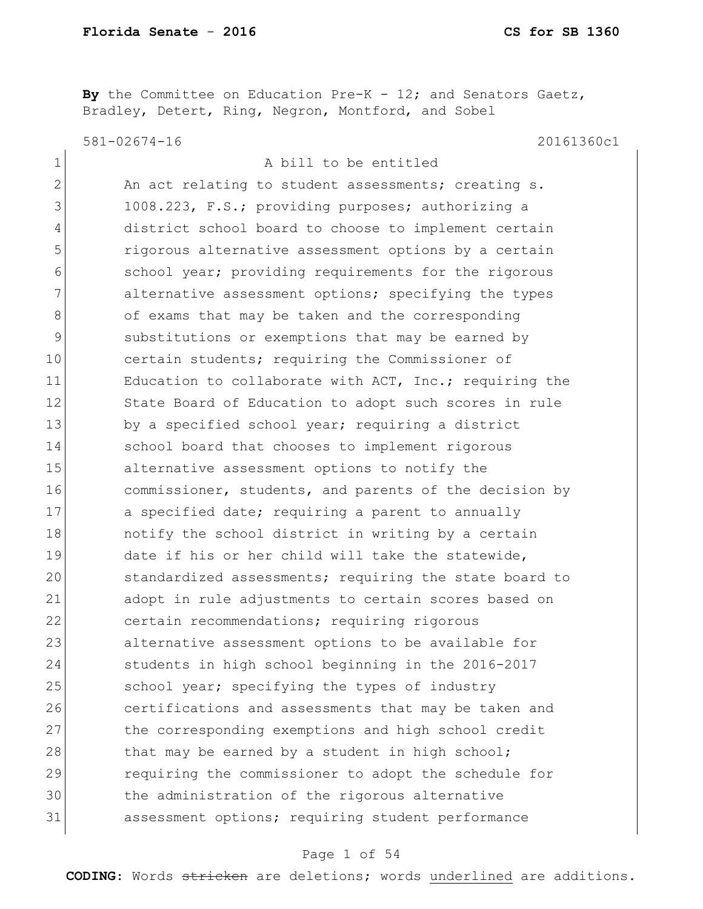**By** the Committee on Education Pre-K - 12; and Senators Gaetz, Bradley, Detert, Ring, Negron, Montford, and Sobel

581-02674-16 20161360c1

| $\mathbf 1$    | A bill to be entitled                                  |
|----------------|--------------------------------------------------------|
| $\mathbf{2}$   | An act relating to student assessments; creating s.    |
| 3              | 1008.223, F.S.; providing purposes; authorizing a      |
| $\overline{4}$ | district school board to choose to implement certain   |
| 5              | rigorous alternative assessment options by a certain   |
| 6              | school year; providing requirements for the rigorous   |
| 7              | alternative assessment options; specifying the types   |
| 8              | of exams that may be taken and the corresponding       |
| $\mathcal{G}$  | substitutions or exemptions that may be earned by      |
| 10             | certain students; requiring the Commissioner of        |
| 11             | Education to collaborate with ACT, Inc.; requiring the |
| 12             | State Board of Education to adopt such scores in rule  |
| 13             | by a specified school year; requiring a district       |
| 14             | school board that chooses to implement rigorous        |
| 15             | alternative assessment options to notify the           |
| 16             | commissioner, students, and parents of the decision by |
| 17             | a specified date; requiring a parent to annually       |
| 18             | notify the school district in writing by a certain     |
| 19             | date if his or her child will take the statewide,      |
| 20             | standardized assessments; requiring the state board to |
| 21             | adopt in rule adjustments to certain scores based on   |
| 22             | certain recommendations; requiring rigorous            |
| 23             | alternative assessment options to be available for     |
| 24             | students in high school beginning in the 2016-2017     |
| 25             | school year; specifying the types of industry          |
| 26             | certifications and assessments that may be taken and   |
| 27             | the corresponding exemptions and high school credit    |
| 28             | that may be earned by a student in high school;        |
| 29             | requiring the commissioner to adopt the schedule for   |
| 30             | the administration of the rigorous alternative         |
| 31             | assessment options; requiring student performance      |
|                |                                                        |

### Page 1 of 54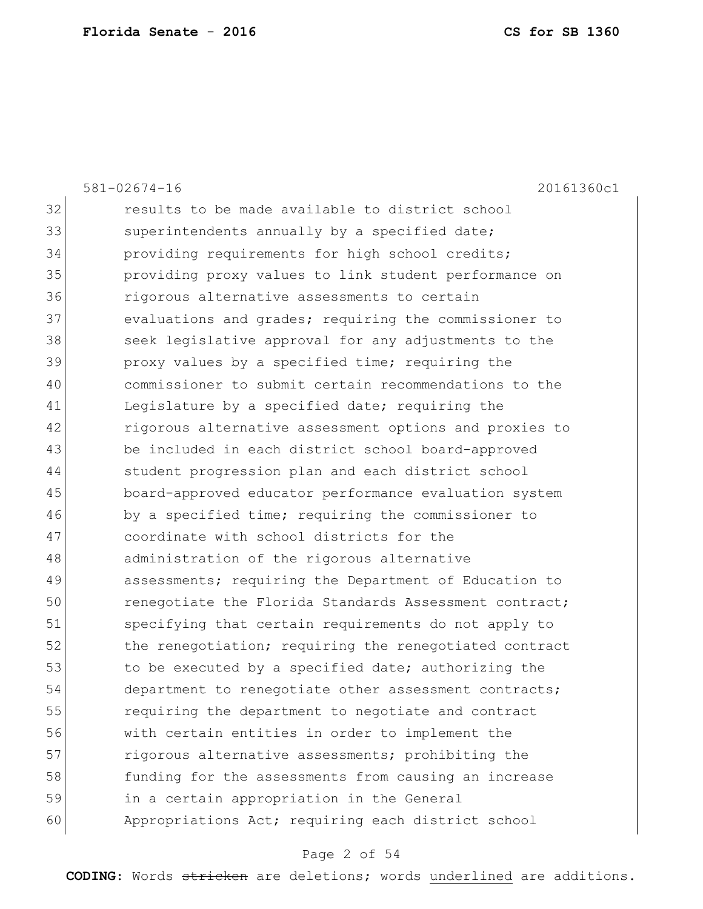|    | $581 - 02674 - 16$<br>20161360c1                       |
|----|--------------------------------------------------------|
| 32 | results to be made available to district school        |
| 33 | superintendents annually by a specified date;          |
| 34 | providing requirements for high school credits;        |
| 35 | providing proxy values to link student performance on  |
| 36 | rigorous alternative assessments to certain            |
| 37 | evaluations and grades; requiring the commissioner to  |
| 38 | seek legislative approval for any adjustments to the   |
| 39 | proxy values by a specified time; requiring the        |
| 40 | commissioner to submit certain recommendations to the  |
| 41 | Legislature by a specified date; requiring the         |
| 42 | rigorous alternative assessment options and proxies to |
| 43 | be included in each district school board-approved     |
| 44 | student progression plan and each district school      |
| 45 | board-approved educator performance evaluation system  |
| 46 | by a specified time; requiring the commissioner to     |
| 47 | coordinate with school districts for the               |
| 48 | administration of the rigorous alternative             |
| 49 | assessments; requiring the Department of Education to  |
| 50 | renegotiate the Florida Standards Assessment contract; |
| 51 | specifying that certain requirements do not apply to   |
| 52 | the renegotiation; requiring the renegotiated contract |
| 53 | to be executed by a specified date; authorizing the    |
| 54 | department to renegotiate other assessment contracts;  |
| 55 | requiring the department to negotiate and contract     |
| 56 | with certain entities in order to implement the        |
| 57 | rigorous alternative assessments; prohibiting the      |
| 58 | funding for the assessments from causing an increase   |
| 59 | in a certain appropriation in the General              |
| 60 | Appropriations Act; requiring each district school     |
|    |                                                        |

# Page 2 of 54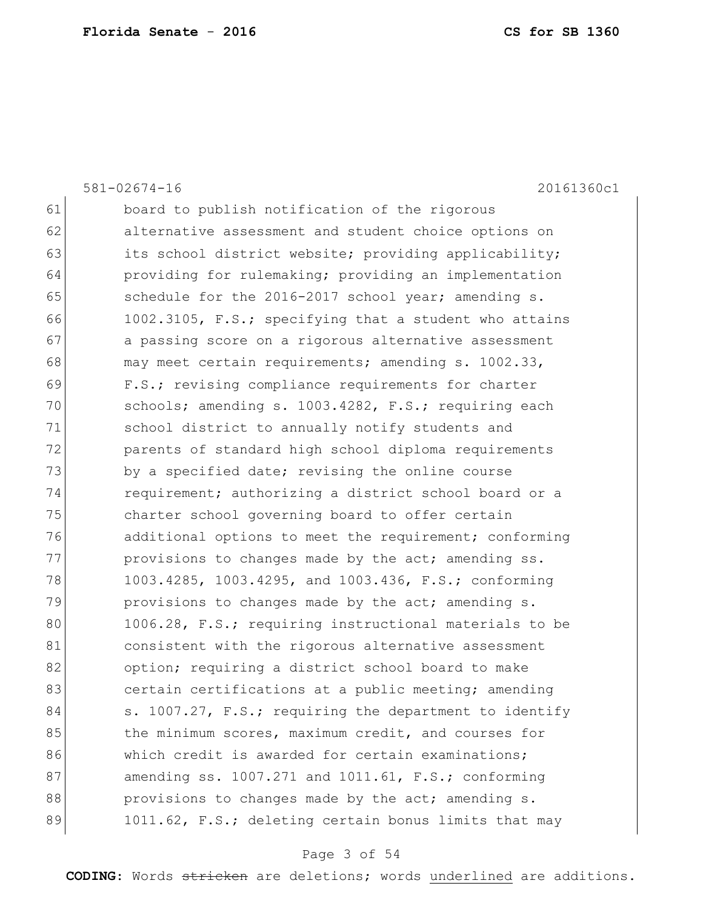|    | $581 - 02674 - 16$<br>20161360c1                       |
|----|--------------------------------------------------------|
| 61 | board to publish notification of the rigorous          |
| 62 | alternative assessment and student choice options on   |
| 63 | its school district website; providing applicability;  |
| 64 | providing for rulemaking; providing an implementation  |
| 65 | schedule for the 2016-2017 school year; amending s.    |
| 66 | 1002.3105, F.S.; specifying that a student who attains |
| 67 | a passing score on a rigorous alternative assessment   |
| 68 | may meet certain requirements; amending s. 1002.33,    |
| 69 | F.S.; revising compliance requirements for charter     |
| 70 | schools; amending s. 1003.4282, F.S.; requiring each   |
| 71 | school district to annually notify students and        |
| 72 | parents of standard high school diploma requirements   |
| 73 | by a specified date; revising the online course        |
| 74 | requirement; authorizing a district school board or a  |
| 75 | charter school governing board to offer certain        |
| 76 | additional options to meet the requirement; conforming |
| 77 | provisions to changes made by the act; amending ss.    |
| 78 | 1003.4285, 1003.4295, and 1003.436, F.S.; conforming   |
| 79 | provisions to changes made by the act; amending s.     |
| 80 | 1006.28, F.S.; requiring instructional materials to be |
| 81 | consistent with the rigorous alternative assessment    |
| 82 | option; requiring a district school board to make      |
| 83 | certain certifications at a public meeting; amending   |
| 84 | s. 1007.27, F.S.; requiring the department to identify |
| 85 | the minimum scores, maximum credit, and courses for    |
| 86 | which credit is awarded for certain examinations;      |
| 87 | amending ss. 1007.271 and 1011.61, F.S.; conforming    |
| 88 | provisions to changes made by the act; amending s.     |
| 89 | 1011.62, F.S.; deleting certain bonus limits that may  |
|    |                                                        |

# Page 3 of 54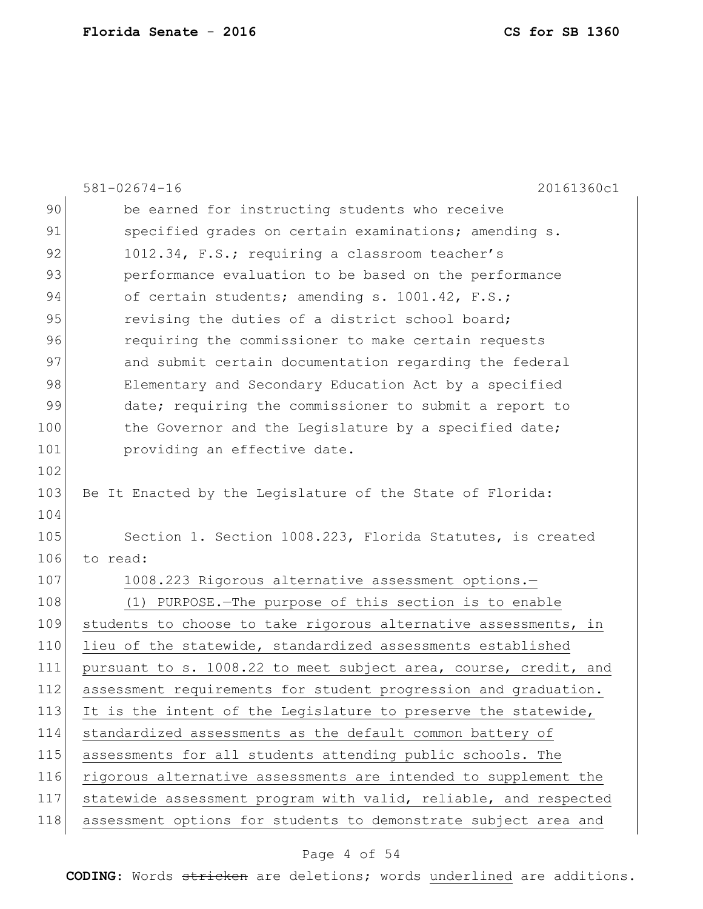|     | $581 - 02674 - 16$<br>20161360c1                                 |
|-----|------------------------------------------------------------------|
| 90  | be earned for instructing students who receive                   |
| 91  | specified grades on certain examinations; amending s.            |
| 92  | 1012.34, F.S.; requiring a classroom teacher's                   |
| 93  | performance evaluation to be based on the performance            |
| 94  | of certain students; amending s. 1001.42, F.S.;                  |
| 95  | revising the duties of a district school board;                  |
| 96  | requiring the commissioner to make certain requests              |
| 97  | and submit certain documentation regarding the federal           |
| 98  | Elementary and Secondary Education Act by a specified            |
| 99  | date; requiring the commissioner to submit a report to           |
| 100 | the Governor and the Legislature by a specified date;            |
| 101 | providing an effective date.                                     |
| 102 |                                                                  |
| 103 | Be It Enacted by the Legislature of the State of Florida:        |
| 104 |                                                                  |
| 105 | Section 1. Section 1008.223, Florida Statutes, is created        |
| 106 | to read:                                                         |
| 107 | 1008.223 Rigorous alternative assessment options.-               |
| 108 | (1) PURPOSE. - The purpose of this section is to enable          |
| 109 | students to choose to take rigorous alternative assessments, in  |
| 110 | lieu of the statewide, standardized assessments established      |
| 111 | pursuant to s. 1008.22 to meet subject area, course, credit, and |
| 112 | assessment requirements for student progression and graduation.  |
| 113 | It is the intent of the Legislature to preserve the statewide,   |
| 114 | standardized assessments as the default common battery of        |
| 115 | assessments for all students attending public schools. The       |
| 116 | rigorous alternative assessments are intended to supplement the  |
| 117 | statewide assessment program with valid, reliable, and respected |
| 118 | assessment options for students to demonstrate subject area and  |

# Page 4 of 54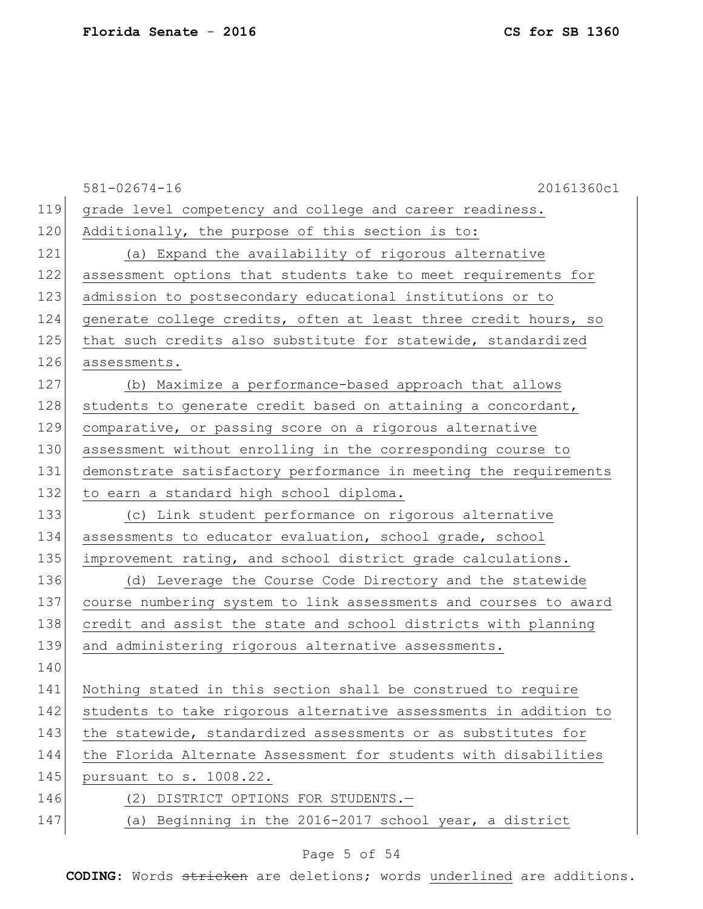581-02674-16 20161360c1 119 grade level competency and college and career readiness. 120 Additionally, the purpose of this section is to: 121 (a) Expand the availability of rigorous alternative 122 assessment options that students take to meet requirements for 123 admission to postsecondary educational institutions or to 124 generate college credits, often at least three credit hours, so 125 that such credits also substitute for statewide, standardized 126 assessments. 127 (b) Maximize a performance-based approach that allows 128 students to generate credit based on attaining a concordant, 129 comparative, or passing score on a rigorous alternative 130 assessment without enrolling in the corresponding course to 131 demonstrate satisfactory performance in meeting the requirements 132 to earn a standard high school diploma. 133 (c) Link student performance on rigorous alternative 134 assessments to educator evaluation, school grade, school 135 improvement rating, and school district grade calculations. 136 (d) Leverage the Course Code Directory and the statewide 137 course numbering system to link assessments and courses to award 138 credit and assist the state and school districts with planning 139 and administering rigorous alternative assessments. 140 141 Nothing stated in this section shall be construed to require 142 students to take rigorous alternative assessments in addition to 143 the statewide, standardized assessments or as substitutes for 144 the Florida Alternate Assessment for students with disabilities 145 pursuant to s. 1008.22. 146 (2) DISTRICT OPTIONS FOR STUDENTS. 147 (a) Beginning in the 2016-2017 school year, a district

### Page 5 of 54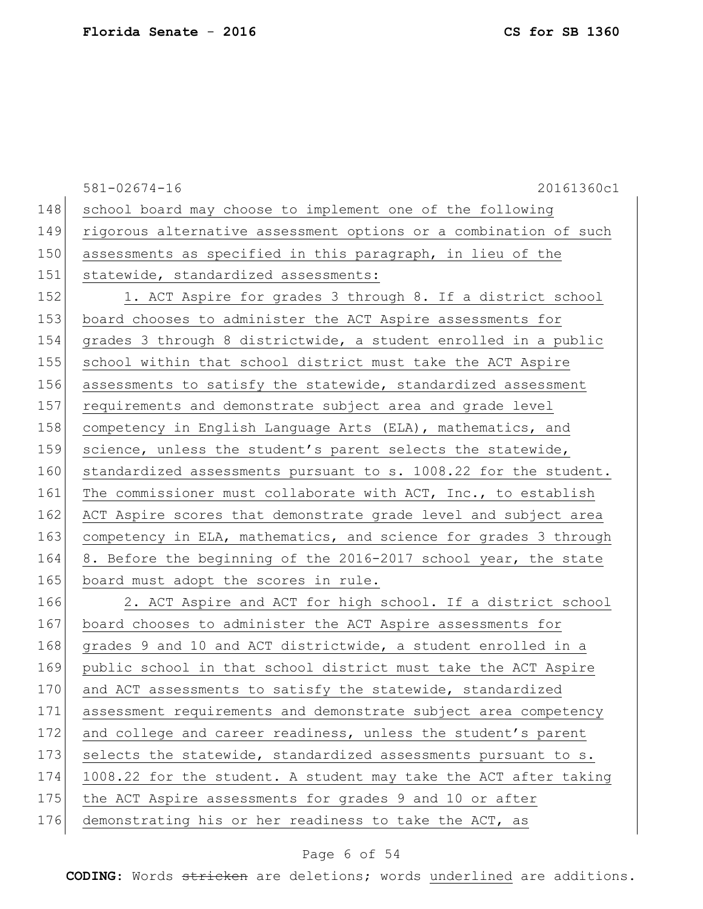581-02674-16 20161360c1 148 school board may choose to implement one of the following 149 rigorous alternative assessment options or a combination of such 150 assessments as specified in this paragraph, in lieu of the 151 statewide, standardized assessments: 152 1. ACT Aspire for grades 3 through 8. If a district school 153 board chooses to administer the ACT Aspire assessments for 154 grades 3 through 8 districtwide, a student enrolled in a public 155 school within that school district must take the ACT Aspire 156 assessments to satisfy the statewide, standardized assessment 157 requirements and demonstrate subject area and grade level 158 competency in English Language Arts (ELA), mathematics, and 159 science, unless the student's parent selects the statewide, 160 standardized assessments pursuant to s. 1008.22 for the student. 161 The commissioner must collaborate with ACT, Inc., to establish 162 ACT Aspire scores that demonstrate grade level and subject area 163 competency in ELA, mathematics, and science for grades 3 through 164 8. Before the beginning of the 2016-2017 school year, the state 165 board must adopt the scores in rule. 166 2. ACT Aspire and ACT for high school. If a district school 167 board chooses to administer the ACT Aspire assessments for 168 grades 9 and 10 and ACT districtwide, a student enrolled in a

169 public school in that school district must take the ACT Aspire 170 and ACT assessments to satisfy the statewide, standardized 171 assessment requirements and demonstrate subject area competency 172 and college and career readiness, unless the student's parent 173 selects the statewide, standardized assessments pursuant to s. 174 1008.22 for the student. A student may take the ACT after taking 175 the ACT Aspire assessments for grades 9 and 10 or after

176 demonstrating his or her readiness to take the ACT, as

### Page 6 of 54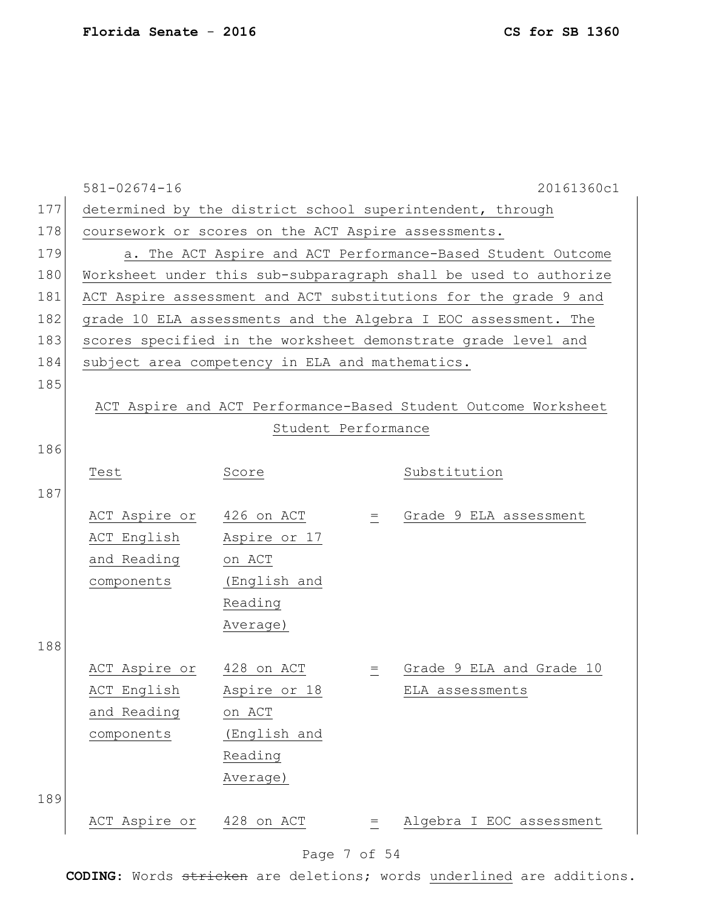|     | $581 - 02674 - 16$                                               |                                                           |          | 20161360c1                                                      |  |  |  |  |
|-----|------------------------------------------------------------------|-----------------------------------------------------------|----------|-----------------------------------------------------------------|--|--|--|--|
| 177 |                                                                  | determined by the district school superintendent, through |          |                                                                 |  |  |  |  |
| 178 | coursework or scores on the ACT Aspire assessments.              |                                                           |          |                                                                 |  |  |  |  |
| 179 | a. The ACT Aspire and ACT Performance-Based Student Outcome      |                                                           |          |                                                                 |  |  |  |  |
| 180 | Worksheet under this sub-subparagraph shall be used to authorize |                                                           |          |                                                                 |  |  |  |  |
| 181 |                                                                  |                                                           |          | ACT Aspire assessment and ACT substitutions for the grade 9 and |  |  |  |  |
| 182 |                                                                  |                                                           |          | grade 10 ELA assessments and the Algebra I EOC assessment. The  |  |  |  |  |
| 183 |                                                                  |                                                           |          | scores specified in the worksheet demonstrate grade level and   |  |  |  |  |
| 184 | subject area competency in ELA and mathematics.                  |                                                           |          |                                                                 |  |  |  |  |
| 185 |                                                                  |                                                           |          |                                                                 |  |  |  |  |
|     |                                                                  |                                                           |          | ACT Aspire and ACT Performance-Based Student Outcome Worksheet  |  |  |  |  |
|     |                                                                  | Student Performance                                       |          |                                                                 |  |  |  |  |
| 186 |                                                                  |                                                           |          |                                                                 |  |  |  |  |
|     | Test                                                             | Score                                                     |          | Substitution                                                    |  |  |  |  |
| 187 |                                                                  |                                                           |          |                                                                 |  |  |  |  |
|     | ACT Aspire or 426 on ACT                                         |                                                           | $\equiv$ | Grade 9 ELA assessment                                          |  |  |  |  |
|     | ACT English                                                      | Aspire or 17                                              |          |                                                                 |  |  |  |  |
|     | and Reading                                                      | on ACT                                                    |          |                                                                 |  |  |  |  |
|     | components                                                       | (English and                                              |          |                                                                 |  |  |  |  |
|     |                                                                  | Reading                                                   |          |                                                                 |  |  |  |  |
|     |                                                                  | Average)                                                  |          |                                                                 |  |  |  |  |
| 188 |                                                                  |                                                           |          |                                                                 |  |  |  |  |
|     | ACT Aspire or 428 on ACT                                         |                                                           | $=$      | Grade 9 ELA and Grade 10                                        |  |  |  |  |
|     | ACT English                                                      | Aspire or 18                                              |          | ELA assessments                                                 |  |  |  |  |
|     | and Reading                                                      | on ACT                                                    |          |                                                                 |  |  |  |  |
|     | components                                                       | (English and                                              |          |                                                                 |  |  |  |  |
|     |                                                                  | Reading                                                   |          |                                                                 |  |  |  |  |
|     |                                                                  | Average)                                                  |          |                                                                 |  |  |  |  |
| 189 |                                                                  |                                                           |          |                                                                 |  |  |  |  |
|     | ACT Aspire or                                                    | 428 on ACT                                                | =        | Algebra I EOC assessment                                        |  |  |  |  |
|     |                                                                  |                                                           |          |                                                                 |  |  |  |  |

# Page 7 of 54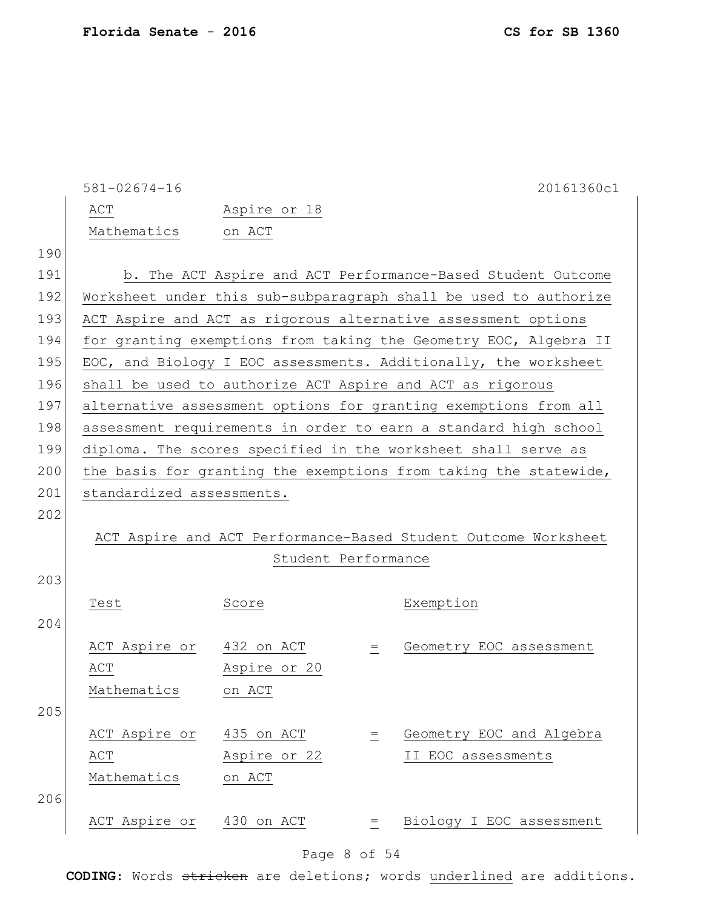|     | $581 - 02674 - 16$                                               |                     |          | 20161360c1                                                       |  |  |  |
|-----|------------------------------------------------------------------|---------------------|----------|------------------------------------------------------------------|--|--|--|
|     | ACT                                                              | Aspire or 18        |          |                                                                  |  |  |  |
|     | Mathematics                                                      | on ACT              |          |                                                                  |  |  |  |
| 190 |                                                                  |                     |          |                                                                  |  |  |  |
| 191 |                                                                  |                     |          | b. The ACT Aspire and ACT Performance-Based Student Outcome      |  |  |  |
| 192 | Worksheet under this sub-subparagraph shall be used to authorize |                     |          |                                                                  |  |  |  |
| 193 |                                                                  |                     |          | ACT Aspire and ACT as rigorous alternative assessment options    |  |  |  |
| 194 |                                                                  |                     |          | for granting exemptions from taking the Geometry EOC, Algebra II |  |  |  |
| 195 |                                                                  |                     |          | EOC, and Biology I EOC assessments. Additionally, the worksheet  |  |  |  |
| 196 |                                                                  |                     |          | shall be used to authorize ACT Aspire and ACT as rigorous        |  |  |  |
| 197 |                                                                  |                     |          | alternative assessment options for granting exemptions from all  |  |  |  |
| 198 |                                                                  |                     |          | assessment requirements in order to earn a standard high school  |  |  |  |
| 199 |                                                                  |                     |          | diploma. The scores specified in the worksheet shall serve as    |  |  |  |
| 200 |                                                                  |                     |          | the basis for granting the exemptions from taking the statewide, |  |  |  |
| 201 | standardized assessments.                                        |                     |          |                                                                  |  |  |  |
| 202 |                                                                  |                     |          |                                                                  |  |  |  |
|     |                                                                  |                     |          | ACT Aspire and ACT Performance-Based Student Outcome Worksheet   |  |  |  |
|     |                                                                  | Student Performance |          |                                                                  |  |  |  |
| 203 |                                                                  |                     |          |                                                                  |  |  |  |
|     | Test                                                             | Score               |          | Exemption                                                        |  |  |  |
| 204 |                                                                  |                     |          |                                                                  |  |  |  |
|     | ACT Aspire or 432 on ACT                                         |                     | $=$      | Geometry EOC assessment                                          |  |  |  |
|     | ACT                                                              | Aspire or 20        |          |                                                                  |  |  |  |
|     | Mathematics                                                      | on ACT              |          |                                                                  |  |  |  |
| 205 |                                                                  |                     |          |                                                                  |  |  |  |
|     | ACT Aspire or                                                    | 435 on ACT          | $\equiv$ | Geometry EOC and Algebra                                         |  |  |  |
|     | ACT                                                              | Aspire or 22        |          | II EOC assessments                                               |  |  |  |
|     | Mathematics                                                      | on ACT              |          |                                                                  |  |  |  |
| 206 |                                                                  |                     |          |                                                                  |  |  |  |
|     | ACT Aspire or                                                    | 430 on ACT          | $=$      | Biology I EOC assessment                                         |  |  |  |
|     |                                                                  |                     |          |                                                                  |  |  |  |

# Page 8 of 54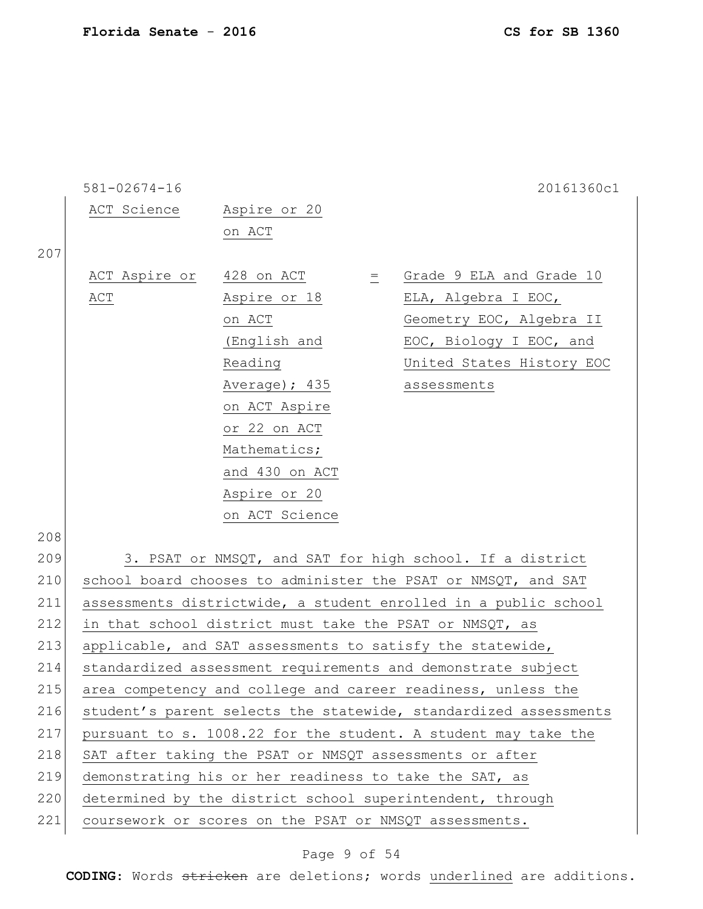|     | $581 - 02674 - 16$ |                                                        |          | 20161360c1                                                       |
|-----|--------------------|--------------------------------------------------------|----------|------------------------------------------------------------------|
|     | ACT Science        | Aspire or 20                                           |          |                                                                  |
|     |                    | on ACT                                                 |          |                                                                  |
| 207 |                    |                                                        |          |                                                                  |
|     | ACT Aspire or      | 428 on ACT                                             | $\equiv$ | Grade 9 ELA and Grade 10                                         |
|     | ACT                | Aspire or 18                                           |          | ELA, Algebra I EOC,                                              |
|     |                    | on ACT                                                 |          | Geometry EOC, Algebra II                                         |
|     |                    | (English and                                           |          | EOC, Biology I EOC, and                                          |
|     |                    | Reading                                                |          | United States History EOC                                        |
|     |                    | Average); 435                                          |          | assessments                                                      |
|     |                    | on ACT Aspire                                          |          |                                                                  |
|     |                    | or 22 on ACT                                           |          |                                                                  |
|     |                    | Mathematics;                                           |          |                                                                  |
|     |                    | and 430 on ACT                                         |          |                                                                  |
|     |                    | Aspire or 20                                           |          |                                                                  |
|     |                    | on ACT Science                                         |          |                                                                  |
| 208 |                    |                                                        |          |                                                                  |
| 209 |                    |                                                        |          | 3. PSAT or NMSQT, and SAT for high school. If a district         |
| 210 |                    |                                                        |          | school board chooses to administer the PSAT or NMSQT, and SAT    |
| 211 |                    |                                                        |          | assessments districtwide, a student enrolled in a public school  |
| 212 |                    |                                                        |          | in that school district must take the PSAT or NMSQT, as          |
| 213 |                    |                                                        |          | applicable, and SAT assessments to satisfy the statewide,        |
| 214 |                    |                                                        |          | standardized assessment requirements and demonstrate subject     |
| 215 |                    |                                                        |          | area competency and college and career readiness, unless the     |
| 216 |                    |                                                        |          | student's parent selects the statewide, standardized assessments |
| 217 |                    |                                                        |          | pursuant to s. 1008.22 for the student. A student may take the   |
| 218 |                    |                                                        |          | SAT after taking the PSAT or NMSQT assessments or after          |
| 219 |                    | demonstrating his or her readiness to take the SAT, as |          |                                                                  |
| 220 |                    |                                                        |          | determined by the district school superintendent, through        |
| 221 |                    | coursework or scores on the PSAT or NMSQT assessments. |          |                                                                  |

# Page 9 of 54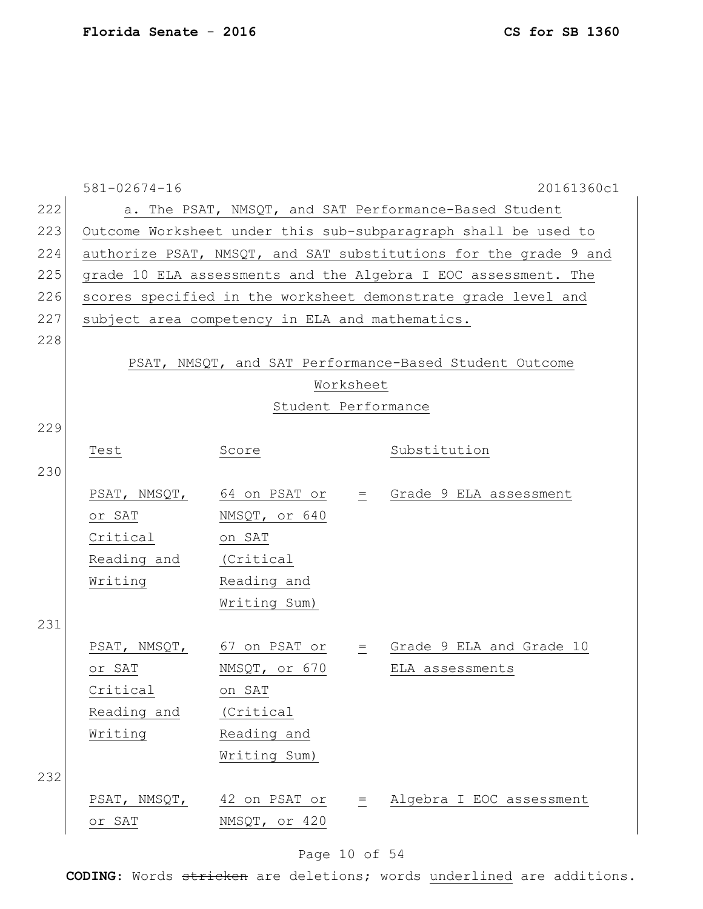|     | $581 - 02674 - 16$                                               |                                                 |           | 20161360c1                                                    |  |  |  |  |
|-----|------------------------------------------------------------------|-------------------------------------------------|-----------|---------------------------------------------------------------|--|--|--|--|
| 222 | a. The PSAT, NMSQT, and SAT Performance-Based Student            |                                                 |           |                                                               |  |  |  |  |
| 223 | Outcome Worksheet under this sub-subparagraph shall be used to   |                                                 |           |                                                               |  |  |  |  |
| 224 | authorize PSAT, NMSQT, and SAT substitutions for the grade 9 and |                                                 |           |                                                               |  |  |  |  |
| 225 | grade 10 ELA assessments and the Algebra I EOC assessment. The   |                                                 |           |                                                               |  |  |  |  |
| 226 |                                                                  |                                                 |           | scores specified in the worksheet demonstrate grade level and |  |  |  |  |
| 227 |                                                                  | subject area competency in ELA and mathematics. |           |                                                               |  |  |  |  |
| 228 |                                                                  |                                                 |           |                                                               |  |  |  |  |
|     | PSAT, NMSQT, and SAT Performance-Based Student Outcome           |                                                 |           |                                                               |  |  |  |  |
|     |                                                                  |                                                 | Worksheet |                                                               |  |  |  |  |
|     |                                                                  | Student Performance                             |           |                                                               |  |  |  |  |
| 229 |                                                                  |                                                 |           |                                                               |  |  |  |  |
|     | Test                                                             | Score                                           |           | Substitution                                                  |  |  |  |  |
| 230 |                                                                  |                                                 |           |                                                               |  |  |  |  |
|     |                                                                  |                                                 |           | PSAT, NMSQT, 64 on PSAT or = Grade 9 ELA assessment           |  |  |  |  |
|     | or SAT                                                           | NMSQT, or 640                                   |           |                                                               |  |  |  |  |
|     | Critical                                                         | on SAT                                          |           |                                                               |  |  |  |  |
|     | Reading and                                                      | (Critical                                       |           |                                                               |  |  |  |  |
|     | Writing                                                          | Reading and                                     |           |                                                               |  |  |  |  |
|     |                                                                  | Writing Sum)                                    |           |                                                               |  |  |  |  |
| 231 |                                                                  |                                                 |           |                                                               |  |  |  |  |
|     |                                                                  | PSAT, NMSQT, 67 on PSAT or                      |           | $=$ Grade 9 ELA and Grade 10                                  |  |  |  |  |
|     | or SAT                                                           | NMSQT, or 670                                   |           | ELA assessments                                               |  |  |  |  |
|     | Critical                                                         | on SAT                                          |           |                                                               |  |  |  |  |
|     | Reading and                                                      | (Critical                                       |           |                                                               |  |  |  |  |
|     | Writing                                                          | Reading and                                     |           |                                                               |  |  |  |  |
|     |                                                                  | Writing Sum)                                    |           |                                                               |  |  |  |  |
| 232 |                                                                  |                                                 |           |                                                               |  |  |  |  |
|     | PSAT, NMSQT,                                                     | 42 on PSAT or                                   | $\equiv$  | Algebra I EOC assessment                                      |  |  |  |  |
|     | or SAT                                                           | NMSQT, or 420                                   |           |                                                               |  |  |  |  |

# Page 10 of 54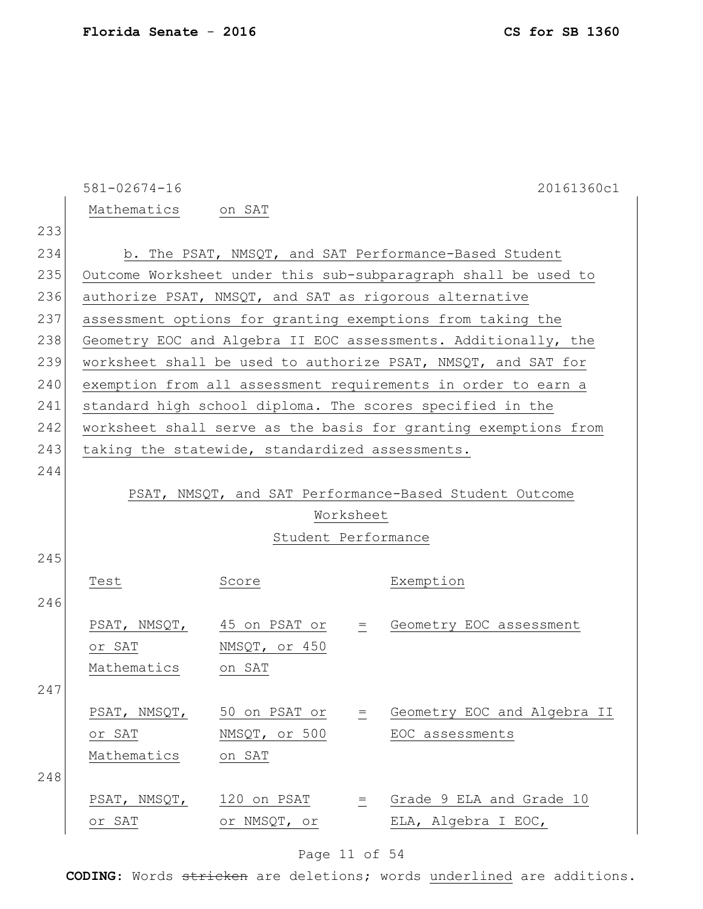|     | $581 - 02674 - 16$                                     |                                                 |  | 20161360c1                                                      |  |  |  |  |
|-----|--------------------------------------------------------|-------------------------------------------------|--|-----------------------------------------------------------------|--|--|--|--|
|     | Mathematics on SAT                                     |                                                 |  |                                                                 |  |  |  |  |
| 233 |                                                        |                                                 |  |                                                                 |  |  |  |  |
| 234 | b. The PSAT, NMSQT, and SAT Performance-Based Student  |                                                 |  |                                                                 |  |  |  |  |
| 235 |                                                        |                                                 |  | Outcome Worksheet under this sub-subparagraph shall be used to  |  |  |  |  |
| 236 |                                                        |                                                 |  | authorize PSAT, NMSQT, and SAT as rigorous alternative          |  |  |  |  |
| 237 |                                                        |                                                 |  | assessment options for granting exemptions from taking the      |  |  |  |  |
| 238 |                                                        |                                                 |  | Geometry EOC and Algebra II EOC assessments. Additionally, the  |  |  |  |  |
| 239 |                                                        |                                                 |  | worksheet shall be used to authorize PSAT, NMSQT, and SAT for   |  |  |  |  |
| 240 |                                                        |                                                 |  | exemption from all assessment requirements in order to earn a   |  |  |  |  |
| 241 |                                                        |                                                 |  | standard high school diploma. The scores specified in the       |  |  |  |  |
| 242 |                                                        |                                                 |  | worksheet shall serve as the basis for granting exemptions from |  |  |  |  |
| 243 |                                                        | taking the statewide, standardized assessments. |  |                                                                 |  |  |  |  |
| 244 |                                                        |                                                 |  |                                                                 |  |  |  |  |
|     | PSAT, NMSQT, and SAT Performance-Based Student Outcome |                                                 |  |                                                                 |  |  |  |  |
|     | Worksheet                                              |                                                 |  |                                                                 |  |  |  |  |
|     | Student Performance                                    |                                                 |  |                                                                 |  |  |  |  |
|     |                                                        |                                                 |  |                                                                 |  |  |  |  |
| 245 |                                                        |                                                 |  |                                                                 |  |  |  |  |
|     | Test                                                   | Score                                           |  | Exemption                                                       |  |  |  |  |
| 246 |                                                        |                                                 |  |                                                                 |  |  |  |  |
|     |                                                        | PSAT, NMSQT, 45 on PSAT or                      |  | = Geometry EOC assessment                                       |  |  |  |  |
|     |                                                        | or SAT NMSQT, or 450                            |  |                                                                 |  |  |  |  |
|     | Mathematics on SAT                                     |                                                 |  |                                                                 |  |  |  |  |
| 247 |                                                        |                                                 |  |                                                                 |  |  |  |  |
|     |                                                        | PSAT, NMSQT, $50$ on PSAT or $=$                |  | Geometry EOC and Algebra II                                     |  |  |  |  |
|     | or SAT                                                 | NMSQT, or 500                                   |  | EOC assessments                                                 |  |  |  |  |
|     | Mathematics                                            | on SAT                                          |  |                                                                 |  |  |  |  |
| 248 |                                                        |                                                 |  |                                                                 |  |  |  |  |
|     | or SAT                                                 | PSAT, NMSQT, 120 on PSAT                        |  | = Grade 9 ELA and Grade 10                                      |  |  |  |  |

# Page 11 of 54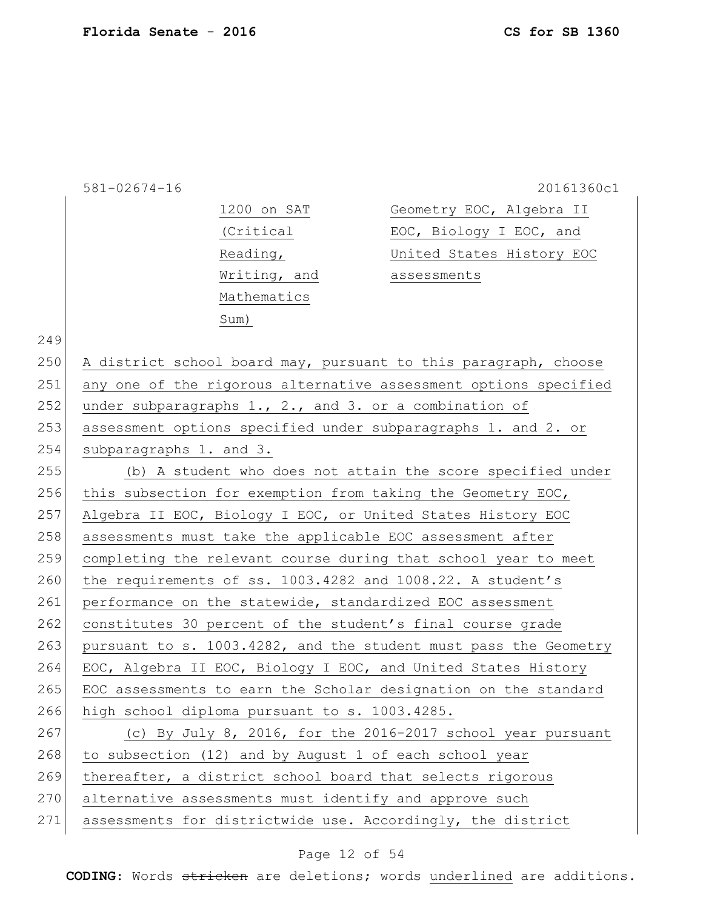| 581-02674-16 |  |  |  |  |  |
|--------------|--|--|--|--|--|
|              |  |  |  |  |  |

20161360c1

| 1200 on SAT  | Geometry EOC, Algebra II  |
|--------------|---------------------------|
| (Critical    | EOC, Biology I EOC, and   |
| Reading,     | United States History EOC |
| Writing, and | assessments               |
| Mathematics  |                           |
| Sum)         |                           |

|  |  | ۰. |
|--|--|----|
|--|--|----|

|     | 250 A district school board may, pursuant to this paragraph, choose |
|-----|---------------------------------------------------------------------|
| 251 | any one of the rigorous alternative assessment options specified    |
| 252 | under subparagraphs $1., 2.,$ and $3.$ or a combination of          |
| 253 | assessment options specified under subparagraphs 1. and 2. or       |
| 254 | subparagraphs 1. and 3.                                             |
| 255 | (b) A student who does not attain the score specified under         |

256 this subsection for exemption from taking the Geometry EOC, 257 Algebra II EOC, Biology I EOC, or United States History EOC 258 assessments must take the applicable EOC assessment after 259 completing the relevant course during that school year to meet 260 the requirements of ss.  $1003.4282$  and  $1008.22$ . A student's 261 performance on the statewide, standardized EOC assessment 262 constitutes 30 percent of the student's final course grade 263 pursuant to s. 1003.4282, and the student must pass the Geometry 264 EOC, Algebra II EOC, Biology I EOC, and United States History 265 EOC assessments to earn the Scholar designation on the standard 266 high school diploma pursuant to s. 1003.4285. 267 (c) By July 8, 2016, for the 2016-2017 school year pursuant 268 to subsection (12) and by August 1 of each school year

269 thereafter, a district school board that selects rigorous

- 270 alternative assessments must identify and approve such
- 271 assessments for districtwide use. Accordingly, the district

#### Page 12 of 54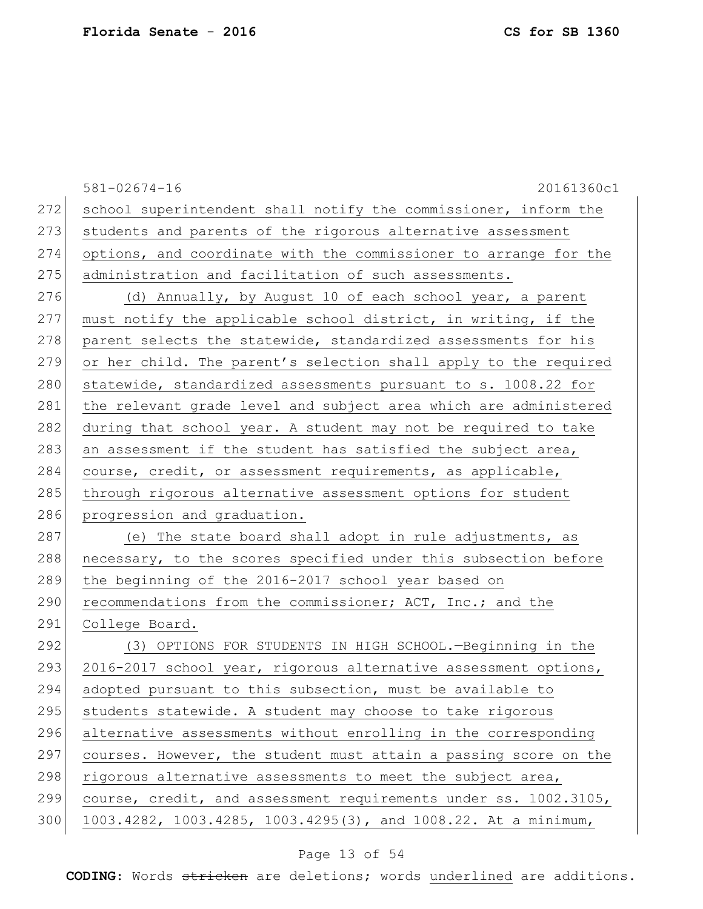|     | $581 - 02674 - 16$<br>20161360c1                                 |
|-----|------------------------------------------------------------------|
| 272 | school superintendent shall notify the commissioner, inform the  |
| 273 | students and parents of the rigorous alternative assessment      |
| 274 | options, and coordinate with the commissioner to arrange for the |
| 275 | administration and facilitation of such assessments.             |
| 276 | (d) Annually, by August 10 of each school year, a parent         |
| 277 | must notify the applicable school district, in writing, if the   |
| 278 | parent selects the statewide, standardized assessments for his   |
| 279 | or her child. The parent's selection shall apply to the required |
| 280 | statewide, standardized assessments pursuant to s. 1008.22 for   |
| 281 | the relevant grade level and subject area which are administered |
| 282 | during that school year. A student may not be required to take   |
| 283 | an assessment if the student has satisfied the subject area,     |
| 284 | course, credit, or assessment requirements, as applicable,       |
| 285 | through rigorous alternative assessment options for student      |
| 286 | progression and graduation.                                      |
| 287 | (e) The state board shall adopt in rule adjustments, as          |
| 288 | necessary, to the scores specified under this subsection before  |
| 289 | the beginning of the 2016-2017 school year based on              |
| 290 | recommendations from the commissioner; ACT, Inc.; and the        |
| 291 | College Board.                                                   |
| 292 | (3) OPTIONS FOR STUDENTS IN HIGH SCHOOL. - Beginning in the      |
| 293 | 2016-2017 school year, rigorous alternative assessment options,  |
| 294 | adopted pursuant to this subsection, must be available to        |
| 295 | students statewide. A student may choose to take rigorous        |
| 296 | alternative assessments without enrolling in the corresponding   |
| 297 | courses. However, the student must attain a passing score on the |
| 298 | rigorous alternative assessments to meet the subject area,       |
| 299 | course, credit, and assessment requirements under ss. 1002.3105, |
| 300 | 1003.4282, 1003.4285, 1003.4295(3), and 1008.22. At a minimum,   |
|     |                                                                  |

# Page 13 of 54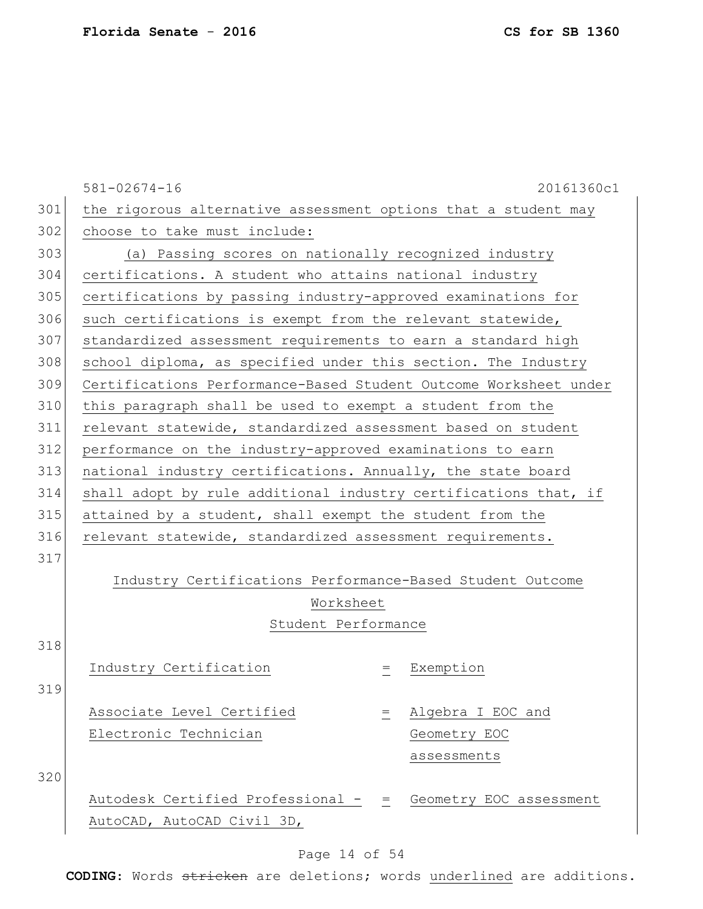|     | $581 - 02674 - 16$                                               |     | 20161360c1              |  |  |  |
|-----|------------------------------------------------------------------|-----|-------------------------|--|--|--|
| 301 | the rigorous alternative assessment options that a student may   |     |                         |  |  |  |
| 302 | choose to take must include:                                     |     |                         |  |  |  |
| 303 | (a) Passing scores on nationally recognized industry             |     |                         |  |  |  |
| 304 | certifications. A student who attains national industry          |     |                         |  |  |  |
| 305 | certifications by passing industry-approved examinations for     |     |                         |  |  |  |
| 306 | such certifications is exempt from the relevant statewide,       |     |                         |  |  |  |
| 307 | standardized assessment requirements to earn a standard high     |     |                         |  |  |  |
| 308 | school diploma, as specified under this section. The Industry    |     |                         |  |  |  |
| 309 | Certifications Performance-Based Student Outcome Worksheet under |     |                         |  |  |  |
| 310 | this paragraph shall be used to exempt a student from the        |     |                         |  |  |  |
| 311 | relevant statewide, standardized assessment based on student     |     |                         |  |  |  |
| 312 | performance on the industry-approved examinations to earn        |     |                         |  |  |  |
| 313 | national industry certifications. Annually, the state board      |     |                         |  |  |  |
| 314 | shall adopt by rule additional industry certifications that, if  |     |                         |  |  |  |
| 315 | attained by a student, shall exempt the student from the         |     |                         |  |  |  |
| 316 | relevant statewide, standardized assessment requirements.        |     |                         |  |  |  |
| 317 |                                                                  |     |                         |  |  |  |
|     | Industry Certifications Performance-Based Student Outcome        |     |                         |  |  |  |
|     | Worksheet                                                        |     |                         |  |  |  |
|     | Student Performance                                              |     |                         |  |  |  |
| 318 |                                                                  |     |                         |  |  |  |
|     | Industry Certification                                           | $=$ | Exemption               |  |  |  |
| 319 |                                                                  |     |                         |  |  |  |
|     | Associate Level Certified                                        | $=$ | Algebra I EOC and       |  |  |  |
|     | Electronic Technician                                            |     | Geometry EOC            |  |  |  |
|     |                                                                  |     | assessments             |  |  |  |
| 320 |                                                                  |     |                         |  |  |  |
|     | Autodesk Certified Professional - =                              |     | Geometry EOC assessment |  |  |  |
|     | AutoCAD, AutoCAD Civil 3D,                                       |     |                         |  |  |  |

# Page 14 of 54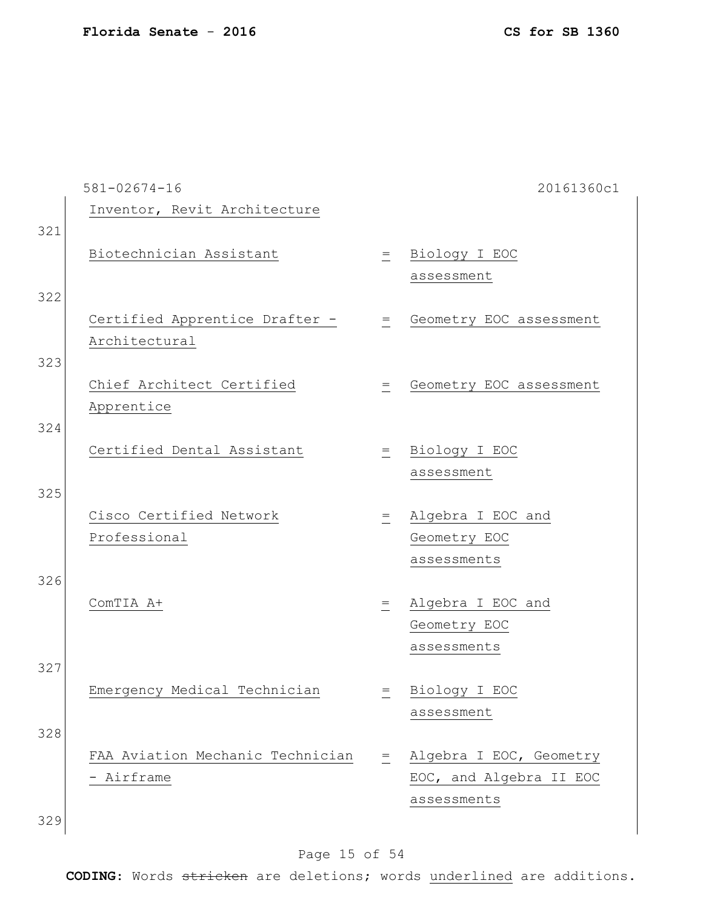|     | $581 - 02674 - 16$               |              | 20161360c1              |
|-----|----------------------------------|--------------|-------------------------|
|     | Inventor, Revit Architecture     |              |                         |
| 321 |                                  |              |                         |
|     | Biotechnician Assistant          |              | = Biology I EOC         |
|     |                                  |              | assessment              |
| 322 |                                  |              |                         |
|     | Certified Apprentice Drafter -   | $=$          | Geometry EOC assessment |
|     | Architectural                    |              |                         |
| 323 |                                  |              |                         |
|     | Chief Architect Certified        | $=$          | Geometry EOC assessment |
|     | Apprentice                       |              |                         |
| 324 |                                  |              |                         |
|     | Certified Dental Assistant       | $=$ $\qquad$ | Biology I EOC           |
|     |                                  |              | assessment              |
| 325 |                                  |              |                         |
|     | Cisco Certified Network          | $\equiv$     | Algebra I EOC and       |
|     | Professional                     |              | Geometry EOC            |
|     |                                  |              | assessments             |
| 326 |                                  |              |                         |
|     | ComTIA A+                        | $=$          | Algebra I EOC and       |
|     |                                  |              | Geometry EOC            |
|     |                                  |              | assessments             |
| 327 |                                  |              |                         |
|     | Emergency Medical Technician     |              | = Biology I EOC         |
|     |                                  |              | assessment              |
| 328 |                                  |              |                         |
|     | FAA Aviation Mechanic Technician | $=$          | Algebra I EOC, Geometry |
|     | - Airframe                       |              | EOC, and Algebra II EOC |
|     |                                  |              | assessments             |
| 329 |                                  |              |                         |
|     |                                  |              |                         |

# Page 15 of 54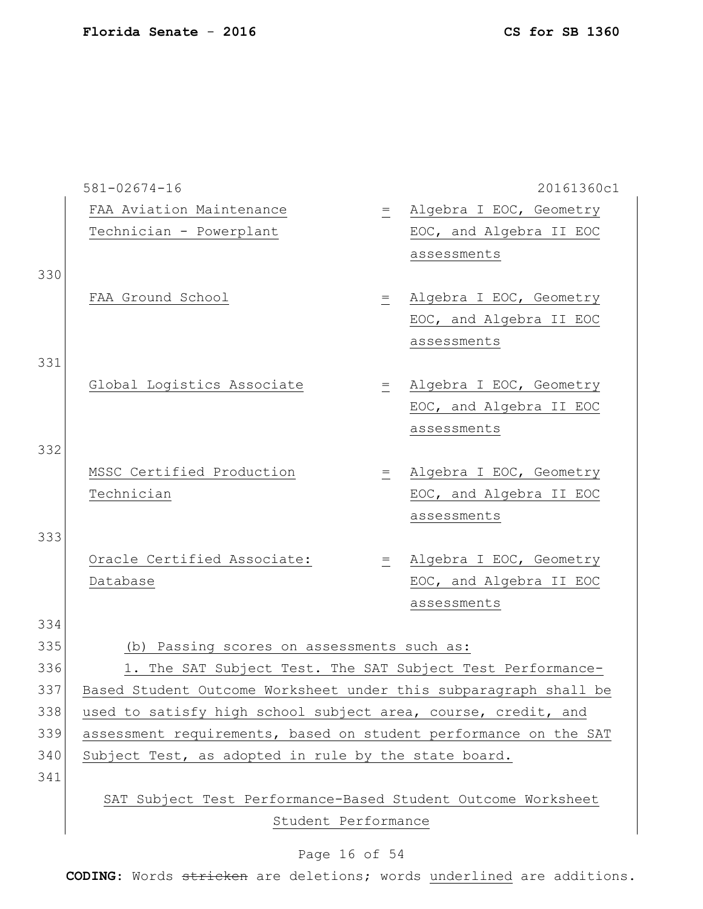|     | $581 - 02674 - 16$                                               |                                                                  | 20161360c1              |  |  |  |
|-----|------------------------------------------------------------------|------------------------------------------------------------------|-------------------------|--|--|--|
|     | FAA Aviation Maintenance                                         | $=$                                                              | Algebra I EOC, Geometry |  |  |  |
|     | Technician - Powerplant                                          |                                                                  | EOC, and Algebra II EOC |  |  |  |
|     |                                                                  |                                                                  | assessments             |  |  |  |
| 330 |                                                                  |                                                                  |                         |  |  |  |
|     | FAA Ground School                                                | $=$                                                              | Algebra I EOC, Geometry |  |  |  |
|     |                                                                  |                                                                  | EOC, and Algebra II EOC |  |  |  |
|     |                                                                  |                                                                  | assessments             |  |  |  |
| 331 |                                                                  |                                                                  |                         |  |  |  |
|     | Global Logistics Associate                                       | $=$                                                              | Algebra I EOC, Geometry |  |  |  |
|     |                                                                  |                                                                  | EOC, and Algebra II EOC |  |  |  |
|     |                                                                  |                                                                  | assessments             |  |  |  |
| 332 |                                                                  |                                                                  |                         |  |  |  |
|     | MSSC Certified Production                                        | $=$ $\,$                                                         | Algebra I EOC, Geometry |  |  |  |
|     | Technician                                                       |                                                                  | EOC, and Algebra II EOC |  |  |  |
|     |                                                                  |                                                                  | assessments             |  |  |  |
| 333 |                                                                  |                                                                  |                         |  |  |  |
|     | Oracle Certified Associate:                                      | $=$ $\qquad$                                                     | Algebra I EOC, Geometry |  |  |  |
|     | Database                                                         |                                                                  | EOC, and Algebra II EOC |  |  |  |
|     |                                                                  |                                                                  | assessments             |  |  |  |
| 334 |                                                                  |                                                                  |                         |  |  |  |
| 335 | (b) Passing scores on assessments such as:                       |                                                                  |                         |  |  |  |
| 336 | 1. The SAT Subject Test. The SAT Subject Test Performance-       |                                                                  |                         |  |  |  |
| 337 |                                                                  | Based Student Outcome Worksheet under this subparagraph shall be |                         |  |  |  |
| 338 | used to satisfy high school subject area, course, credit, and    |                                                                  |                         |  |  |  |
| 339 | assessment requirements, based on student performance on the SAT |                                                                  |                         |  |  |  |
| 340 | Subject Test, as adopted in rule by the state board.             |                                                                  |                         |  |  |  |
| 341 |                                                                  |                                                                  |                         |  |  |  |
|     | SAT Subject Test Performance-Based Student Outcome Worksheet     |                                                                  |                         |  |  |  |
|     | Student Performance                                              |                                                                  |                         |  |  |  |

# Page 16 of 54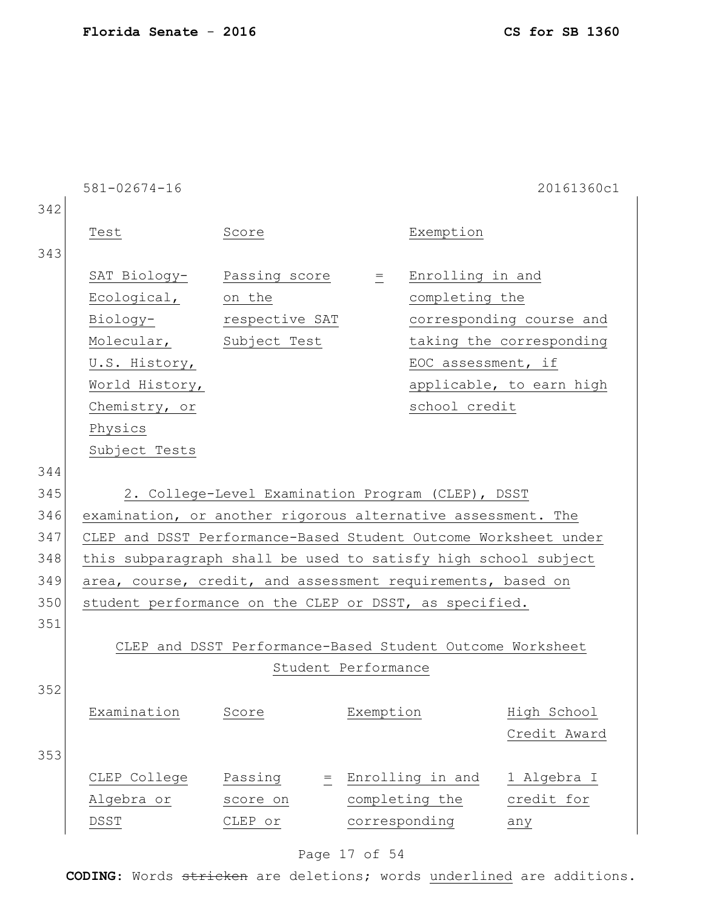|            | $581 - 02674 - 16$                                                                                                                                           |                                                           |                     |                                                                           | 20161360c1                                                                       |
|------------|--------------------------------------------------------------------------------------------------------------------------------------------------------------|-----------------------------------------------------------|---------------------|---------------------------------------------------------------------------|----------------------------------------------------------------------------------|
| 342<br>343 | Test                                                                                                                                                         | Score                                                     |                     | Exemption                                                                 |                                                                                  |
|            | SAT Biology- Passing score =<br>Ecological, on the<br>Biology- respective SAT<br>Molecular, Subject Test<br>U.S. History,<br>World History,<br>Chemistry, or |                                                           |                     | Enrolling in and<br>completing the<br>EOC assessment, if<br>school credit | corresponding course and<br>taking the corresponding<br>applicable, to earn high |
|            | Physics<br>Subject Tests                                                                                                                                     |                                                           |                     |                                                                           |                                                                                  |
| 344        |                                                                                                                                                              |                                                           |                     |                                                                           |                                                                                  |
| 345        |                                                                                                                                                              | 2. College-Level Examination Program (CLEP), DSST         |                     |                                                                           |                                                                                  |
| 346        | examination, or another rigorous alternative assessment. The                                                                                                 |                                                           |                     |                                                                           |                                                                                  |
| 347        | CLEP and DSST Performance-Based Student Outcome Worksheet under                                                                                              |                                                           |                     |                                                                           |                                                                                  |
| 348        | this subparagraph shall be used to satisfy high school subject                                                                                               |                                                           |                     |                                                                           |                                                                                  |
| 349        | area, course, credit, and assessment requirements, based on                                                                                                  |                                                           |                     |                                                                           |                                                                                  |
| 350        | student performance on the CLEP or DSST, as specified.                                                                                                       |                                                           |                     |                                                                           |                                                                                  |
| 351        |                                                                                                                                                              |                                                           |                     |                                                                           |                                                                                  |
|            |                                                                                                                                                              | CLEP and DSST Performance-Based Student Outcome Worksheet |                     |                                                                           |                                                                                  |
|            |                                                                                                                                                              |                                                           | Student Performance |                                                                           |                                                                                  |
| 352        |                                                                                                                                                              |                                                           |                     |                                                                           |                                                                                  |
|            | Examination                                                                                                                                                  | Score                                                     | Exemption           |                                                                           | High School<br>Credit Award                                                      |
| 353        |                                                                                                                                                              |                                                           |                     |                                                                           |                                                                                  |
|            | CLEP College                                                                                                                                                 | Passing<br>$=$                                            |                     | Enrolling in and                                                          | 1 Algebra I                                                                      |
|            | Algebra or                                                                                                                                                   | score on                                                  |                     | completing the                                                            | credit for                                                                       |
|            | DSST                                                                                                                                                         | CLEP or                                                   | corresponding       |                                                                           | any                                                                              |

# Page 17 of 54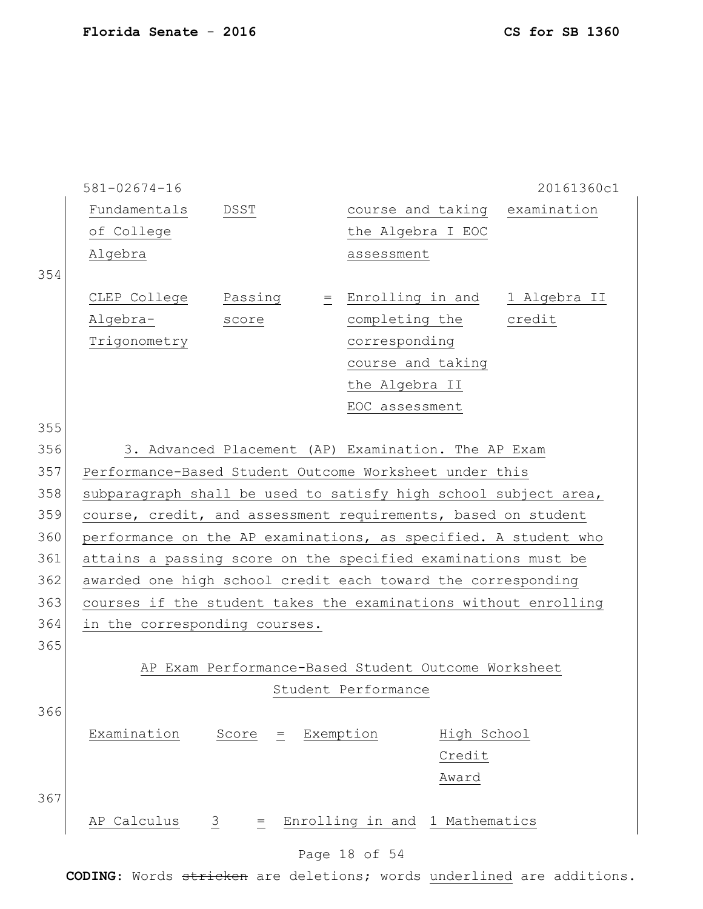|     | $581 - 02674 - 16$                                              |                      |               |                                                     | 20161360c1 |
|-----|-----------------------------------------------------------------|----------------------|---------------|-----------------------------------------------------|------------|
|     | Fundamentals                                                    | DSST                 |               | course and taking examination                       |            |
|     | of College                                                      |                      |               | the Algebra I EOC                                   |            |
|     | Algebra                                                         |                      |               | assessment                                          |            |
| 354 |                                                                 |                      |               |                                                     |            |
|     | CLEP College                                                    | Passing              |               | = Enrolling in and 1 Algebra II                     |            |
|     | Algebra-                                                        | score                |               | completing the credit                               |            |
|     | Trigonometry                                                    |                      |               | corresponding                                       |            |
|     |                                                                 |                      |               | course and taking                                   |            |
|     |                                                                 |                      |               | the Algebra II                                      |            |
|     |                                                                 |                      |               | EOC assessment                                      |            |
| 355 |                                                                 |                      |               |                                                     |            |
| 356 |                                                                 |                      |               | 3. Advanced Placement (AP) Examination. The AP Exam |            |
| 357 | Performance-Based Student Outcome Worksheet under this          |                      |               |                                                     |            |
| 358 | subparagraph shall be used to satisfy high school subject area, |                      |               |                                                     |            |
| 359 | course, credit, and assessment requirements, based on student   |                      |               |                                                     |            |
| 360 | performance on the AP examinations, as specified. A student who |                      |               |                                                     |            |
| 361 | attains a passing score on the specified examinations must be   |                      |               |                                                     |            |
| 362 | awarded one high school credit each toward the corresponding    |                      |               |                                                     |            |
| 363 | courses if the student takes the examinations without enrolling |                      |               |                                                     |            |
| 364 | in the corresponding courses.                                   |                      |               |                                                     |            |
| 365 |                                                                 |                      |               |                                                     |            |
|     |                                                                 |                      |               | AP Exam Performance-Based Student Outcome Worksheet |            |
|     |                                                                 |                      |               | Student Performance                                 |            |
| 366 |                                                                 |                      |               |                                                     |            |
|     | Examination                                                     | Score<br>$=$         | Exemption     | High School                                         |            |
|     |                                                                 |                      |               | Credit                                              |            |
|     |                                                                 |                      |               | Award                                               |            |
| 367 |                                                                 |                      |               |                                                     |            |
|     | AP Calculus                                                     | $\frac{3}{2}$<br>$=$ |               | Enrolling in and 1 Mathematics                      |            |
|     |                                                                 |                      |               |                                                     |            |
|     |                                                                 |                      | Page 18 of 54 |                                                     |            |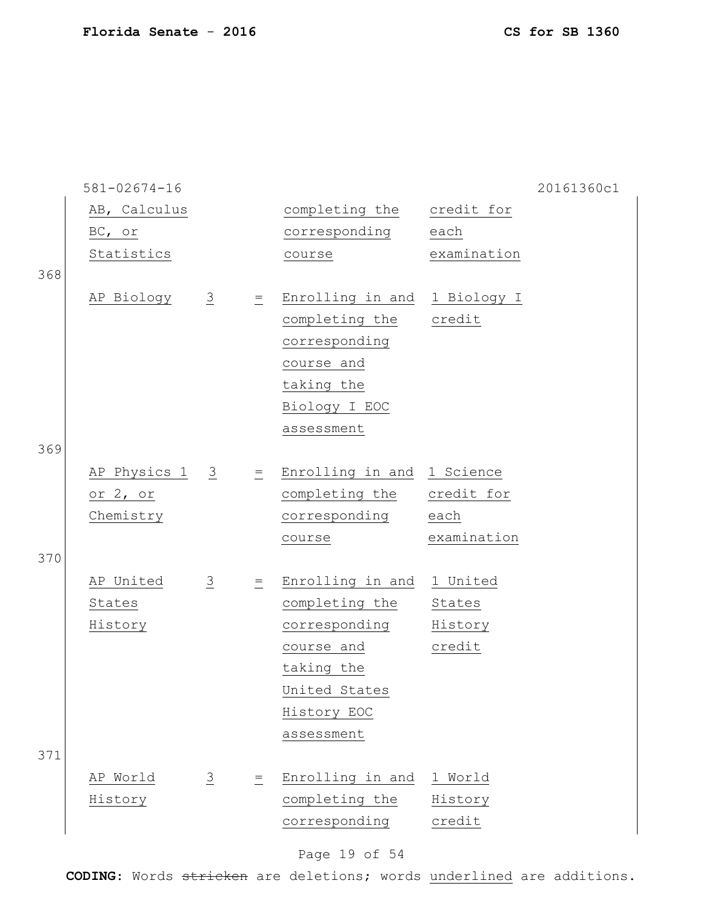|     | $581 - 02674 - 16$ |                |                                   |                              |             | 20161360c1 |
|-----|--------------------|----------------|-----------------------------------|------------------------------|-------------|------------|
|     | AB, Calculus       |                |                                   | completing the               | credit for  |            |
|     | BC, or             |                |                                   | corresponding                | each        |            |
|     | Statistics         |                |                                   | course                       | examination |            |
| 368 |                    |                |                                   |                              |             |            |
|     | AP Biology         | $\overline{3}$ | $\equiv$                          | Enrolling in and 1 Biology I |             |            |
|     |                    |                |                                   | completing the               | credit      |            |
|     |                    |                |                                   | corresponding                |             |            |
|     |                    |                |                                   | course and                   |             |            |
|     |                    |                |                                   | taking the                   |             |            |
|     |                    |                |                                   | Biology I EOC                |             |            |
|     |                    |                |                                   | assessment                   |             |            |
| 369 |                    |                |                                   |                              |             |            |
|     | AP Physics 1 3     |                | $\equiv$                          | Enrolling in and 1 Science   |             |            |
|     | or 2, or           |                |                                   | completing the               | credit for  |            |
|     | Chemistry          |                |                                   | corresponding                | each        |            |
|     |                    |                |                                   | course                       | examination |            |
| 370 |                    |                |                                   |                              |             |            |
|     | AP United          | $\overline{3}$ | $\equiv$                          | Enrolling in and             | 1 United    |            |
|     | States             |                |                                   | completing the               | States      |            |
|     | History            |                |                                   | corresponding                | History     |            |
|     |                    |                |                                   | course and                   | credit      |            |
|     |                    |                |                                   | taking the                   |             |            |
|     |                    |                |                                   | United States                |             |            |
|     |                    |                |                                   | History EOC                  |             |            |
|     |                    |                |                                   | assessment                   |             |            |
| 371 |                    |                |                                   |                              |             |            |
|     | AP World           | $\overline{3}$ | $\hspace{1.6cm} = \hspace{1.6cm}$ | Enrolling in and             | 1 World     |            |
|     | History            |                |                                   | completing the               | History     |            |
|     |                    |                |                                   | corresponding                | credit      |            |
|     |                    |                |                                   |                              |             |            |

# Page 19 of 54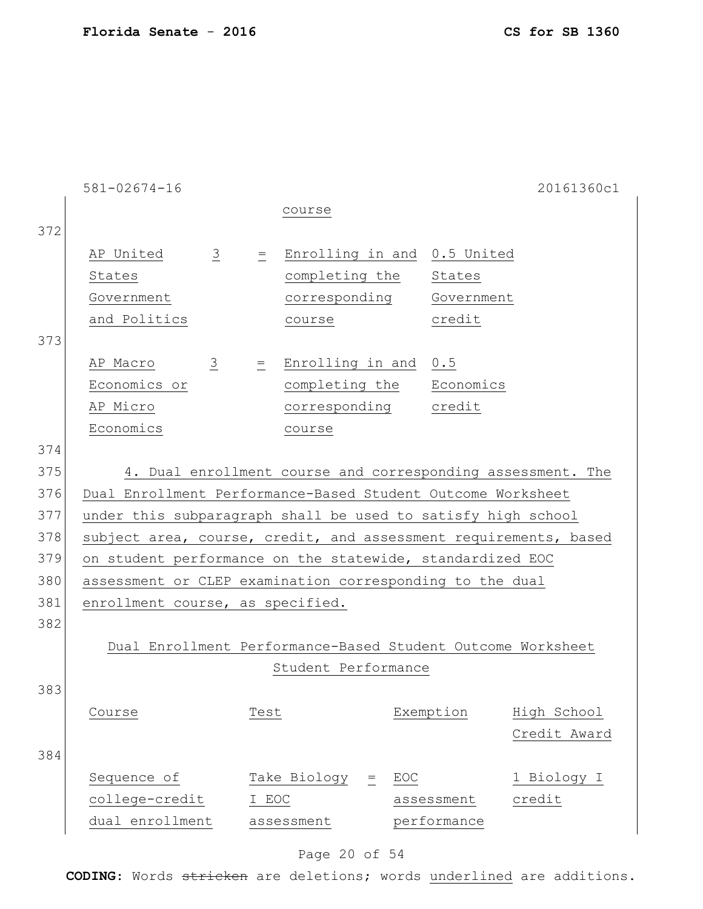|     | $581 - 02674 - 16$                                               |                      |                                                             |                             | 20161360c1   |
|-----|------------------------------------------------------------------|----------------------|-------------------------------------------------------------|-----------------------------|--------------|
|     |                                                                  |                      | course                                                      |                             |              |
| 372 |                                                                  |                      |                                                             |                             |              |
|     | AP United                                                        | $\frac{3}{2}$<br>$=$ |                                                             | Enrolling in and 0.5 United |              |
|     | States                                                           |                      | completing the                                              | States                      |              |
|     | Government                                                       |                      | corresponding                                               | Government                  |              |
|     | and Politics                                                     |                      | course                                                      | credit                      |              |
| 373 |                                                                  |                      |                                                             |                             |              |
|     | AP Macro                                                         | $\frac{3}{2}$<br>$=$ | Enrolling in and 0.5                                        |                             |              |
|     | Economics or                                                     |                      | completing the                                              | Economics                   |              |
|     | AP Micro                                                         |                      | corresponding                                               | credit                      |              |
|     | Economics                                                        |                      | course                                                      |                             |              |
| 374 |                                                                  |                      |                                                             |                             |              |
| 375 |                                                                  |                      | 4. Dual enrollment course and corresponding assessment. The |                             |              |
| 376 | Dual Enrollment Performance-Based Student Outcome Worksheet      |                      |                                                             |                             |              |
| 377 | under this subparagraph shall be used to satisfy high school     |                      |                                                             |                             |              |
| 378 | subject area, course, credit, and assessment requirements, based |                      |                                                             |                             |              |
| 379 | on student performance on the statewide, standardized EOC        |                      |                                                             |                             |              |
| 380 | assessment or CLEP examination corresponding to the dual         |                      |                                                             |                             |              |
| 381 | enrollment course, as specified.                                 |                      |                                                             |                             |              |
| 382 |                                                                  |                      |                                                             |                             |              |
|     | Dual Enrollment Performance-Based Student Outcome Worksheet      |                      |                                                             |                             |              |
|     |                                                                  |                      | Student Performance                                         |                             |              |
| 383 |                                                                  |                      |                                                             |                             |              |
|     | Course                                                           | Test                 |                                                             | Exemption                   | High School  |
|     |                                                                  |                      |                                                             |                             | Credit Award |
| 384 |                                                                  |                      |                                                             |                             |              |
|     | Sequence of                                                      |                      | Take Biology<br>$=$                                         | EOC                         | 1 Biology I  |
|     | college-credit                                                   | I EOC                |                                                             | assessment                  | credit       |
|     | dual enrollment                                                  |                      | assessment                                                  | performance                 |              |
|     |                                                                  |                      |                                                             |                             |              |

# Page 20 of 54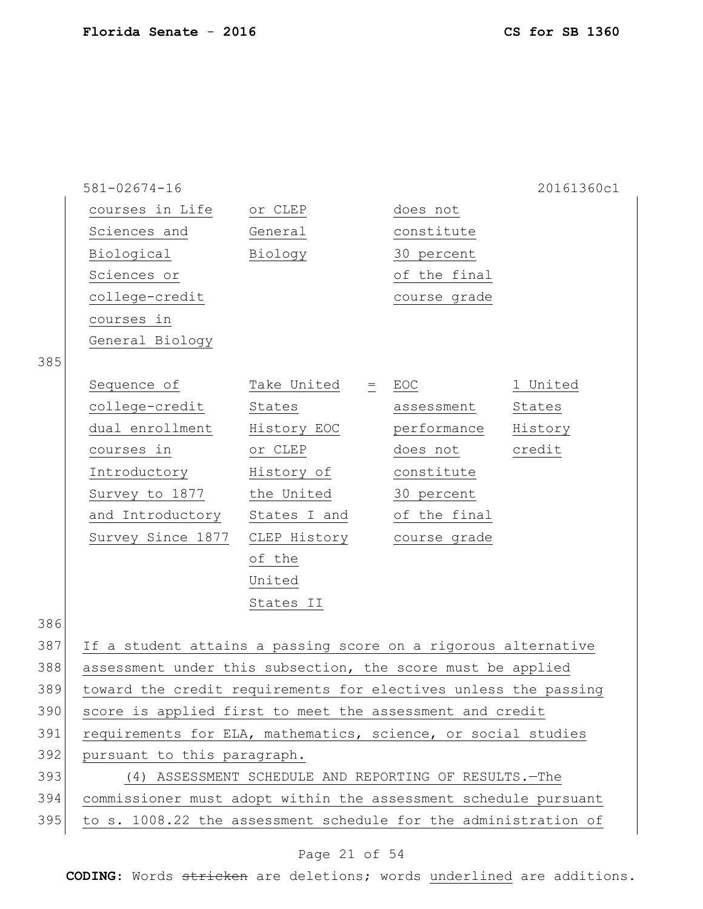|     | $581 - 02674 - 16$                                              |                                                         |              | 20161360c1 |
|-----|-----------------------------------------------------------------|---------------------------------------------------------|--------------|------------|
|     | courses in Life or CLEP                                         |                                                         | does not     |            |
|     | Sciences and                                                    | General                                                 | constitute   |            |
|     | Biological                                                      | Biology                                                 | 30 percent   |            |
|     | Sciences or                                                     |                                                         | of the final |            |
|     | college-credit                                                  |                                                         | course grade |            |
|     | courses in                                                      |                                                         |              |            |
|     | General Biology                                                 |                                                         |              |            |
| 385 |                                                                 |                                                         |              |            |
|     | Sequence of Take United = EOC                                   |                                                         |              | 1 United   |
|     | college-credit                                                  | States                                                  | assessment   | States     |
|     | dual enrollment                                                 | History EOC                                             | performance  | History    |
|     | courses in                                                      | or CLEP                                                 | does not     | credit     |
|     | Introductory                                                    | History of                                              | constitute   |            |
|     | Survey to 1877                                                  | the United                                              | 30 percent   |            |
|     | and Introductory States I and                                   |                                                         | of the final |            |
|     | Survey Since 1877                                               | CLEP History                                            | course grade |            |
|     |                                                                 | of the                                                  |              |            |
|     |                                                                 | United                                                  |              |            |
|     |                                                                 | States II                                               |              |            |
| 386 |                                                                 |                                                         |              |            |
| 387 | If a student attains a passing score on a rigorous alternative  |                                                         |              |            |
| 388 | assessment under this subsection, the score must be applied     |                                                         |              |            |
| 389 | toward the credit requirements for electives unless the passing |                                                         |              |            |
| 390 | score is applied first to meet the assessment and credit        |                                                         |              |            |
| 391 | requirements for ELA, mathematics, science, or social studies   |                                                         |              |            |
| 392 | pursuant to this paragraph.                                     |                                                         |              |            |
| 393 |                                                                 | (4) ASSESSMENT SCHEDULE AND REPORTING OF RESULTS. - The |              |            |
| 394 | commissioner must adopt within the assessment schedule pursuant |                                                         |              |            |
| 395 | to s. 1008.22 the assessment schedule for the administration of |                                                         |              |            |

# Page 21 of 54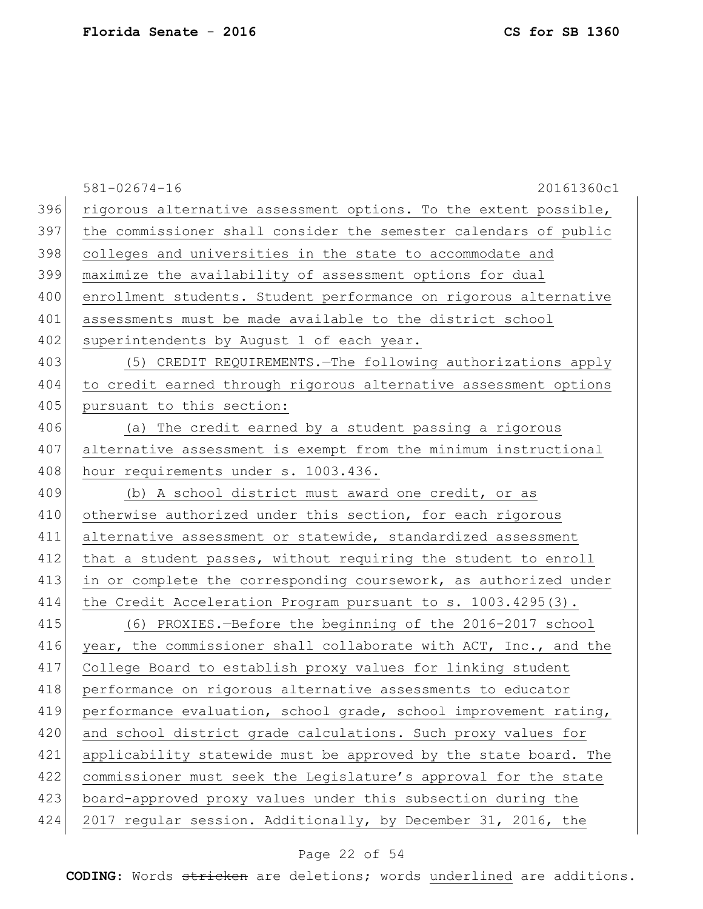|     | $581 - 02674 - 16$<br>20161360c1                                 |
|-----|------------------------------------------------------------------|
| 396 | rigorous alternative assessment options. To the extent possible, |
| 397 | the commissioner shall consider the semester calendars of public |
| 398 | colleges and universities in the state to accommodate and        |
| 399 | maximize the availability of assessment options for dual         |
| 400 | enrollment students. Student performance on rigorous alternative |
| 401 | assessments must be made available to the district school        |
| 402 | superintendents by August 1 of each year.                        |
| 403 | (5) CREDIT REQUIREMENTS. - The following authorizations apply    |
| 404 | to credit earned through rigorous alternative assessment options |
| 405 | pursuant to this section:                                        |
| 406 | (a) The credit earned by a student passing a rigorous            |
| 407 | alternative assessment is exempt from the minimum instructional  |
| 408 | hour requirements under s. 1003.436.                             |
| 409 | (b) A school district must award one credit, or as               |
| 410 | otherwise authorized under this section, for each rigorous       |
| 411 | alternative assessment or statewide, standardized assessment     |
| 412 | that a student passes, without requiring the student to enroll   |
| 413 | in or complete the corresponding coursework, as authorized under |
| 414 | the Credit Acceleration Program pursuant to $s. 1003.4295(3)$ .  |
| 415 | (6) PROXIES.-Before the beginning of the 2016-2017 school        |
| 416 | year, the commissioner shall collaborate with ACT, Inc., and the |
| 417 | College Board to establish proxy values for linking student      |
| 418 | performance on rigorous alternative assessments to educator      |
| 419 | performance evaluation, school grade, school improvement rating, |
| 420 | and school district grade calculations. Such proxy values for    |
| 421 | applicability statewide must be approved by the state board. The |
| 422 | commissioner must seek the Legislature's approval for the state  |
| 423 | board-approved proxy values under this subsection during the     |
| 424 | 2017 regular session. Additionally, by December 31, 2016, the    |
|     |                                                                  |

# Page 22 of 54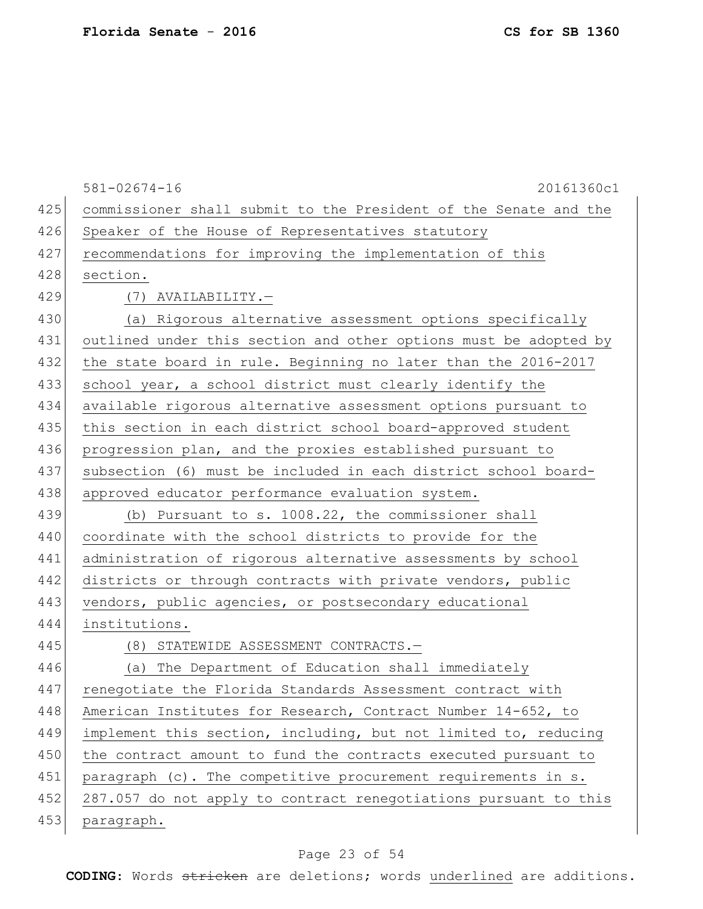| CS for SB 1360 |  |
|----------------|--|
|----------------|--|

|     | $581 - 02674 - 16$<br>20161360c1                                 |
|-----|------------------------------------------------------------------|
| 425 | commissioner shall submit to the President of the Senate and the |
| 426 | Speaker of the House of Representatives statutory                |
| 427 | recommendations for improving the implementation of this         |
| 428 | section.                                                         |
| 429 | (7) AVAILABILITY.-                                               |
| 430 | (a) Rigorous alternative assessment options specifically         |
| 431 | outlined under this section and other options must be adopted by |
| 432 | the state board in rule. Beginning no later than the 2016-2017   |
| 433 | school year, a school district must clearly identify the         |
| 434 | available rigorous alternative assessment options pursuant to    |
| 435 | this section in each district school board-approved student      |
| 436 | progression plan, and the proxies established pursuant to        |
| 437 | subsection (6) must be included in each district school board-   |
| 438 | approved educator performance evaluation system.                 |
| 439 | (b) Pursuant to s. 1008.22, the commissioner shall               |
| 440 | coordinate with the school districts to provide for the          |
| 441 | administration of rigorous alternative assessments by school     |
| 442 | districts or through contracts with private vendors, public      |
| 443 | vendors, public agencies, or postsecondary educational           |
| 444 | institutions.                                                    |
| 445 | (8) STATEWIDE ASSESSMENT CONTRACTS.-                             |
| 446 | The Department of Education shall immediately<br>(a)             |
| 447 | renegotiate the Florida Standards Assessment contract with       |
| 448 | American Institutes for Research, Contract Number 14-652, to     |
| 449 | implement this section, including, but not limited to, reducing  |
| 450 | the contract amount to fund the contracts executed pursuant to   |
| 451 | paragraph $(c)$ . The competitive procurement requirements in s. |
| 452 | 287.057 do not apply to contract renegotiations pursuant to this |
| 453 | paragraph.                                                       |

# Page 23 of 54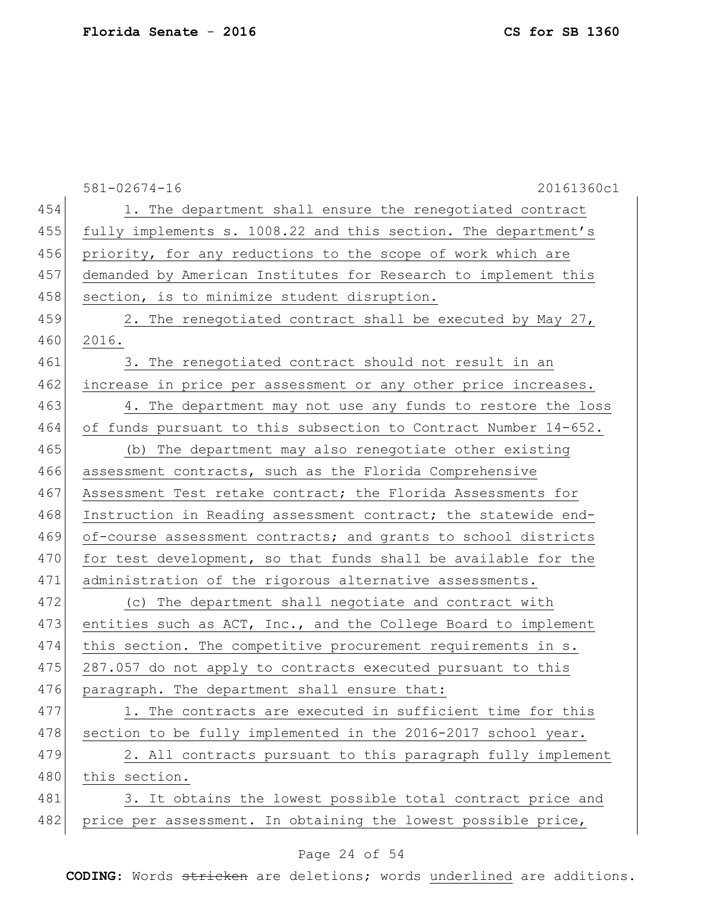|     | $581 - 02674 - 16$<br>20161360c1                                |
|-----|-----------------------------------------------------------------|
| 454 | 1. The department shall ensure the renegotiated contract        |
| 455 | fully implements s. 1008.22 and this section. The department's  |
| 456 | priority, for any reductions to the scope of work which are     |
| 457 | demanded by American Institutes for Research to implement this  |
| 458 | section, is to minimize student disruption.                     |
| 459 | 2. The renegotiated contract shall be executed by May 27,       |
| 460 | 2016.                                                           |
| 461 | 3. The renegotiated contract should not result in an            |
| 462 | increase in price per assessment or any other price increases.  |
| 463 | 4. The department may not use any funds to restore the loss     |
| 464 | of funds pursuant to this subsection to Contract Number 14-652. |
| 465 | (b) The department may also renegotiate other existing          |
| 466 | assessment contracts, such as the Florida Comprehensive         |
| 467 | Assessment Test retake contract; the Florida Assessments for    |
| 468 | Instruction in Reading assessment contract; the statewide end-  |
| 469 | of-course assessment contracts; and grants to school districts  |
| 470 | for test development, so that funds shall be available for the  |
| 471 | administration of the rigorous alternative assessments.         |
| 472 | (c) The department shall negotiate and contract with            |
| 473 | entities such as ACT, Inc., and the College Board to implement  |
| 474 | this section. The competitive procurement requirements in s.    |
| 475 | 287.057 do not apply to contracts executed pursuant to this     |
| 476 | paragraph. The department shall ensure that:                    |
| 477 | 1. The contracts are executed in sufficient time for this       |
| 478 | section to be fully implemented in the 2016-2017 school year.   |
| 479 | 2. All contracts pursuant to this paragraph fully implement     |
| 480 | this section.                                                   |
| 481 | 3. It obtains the lowest possible total contract price and      |
| 482 | price per assessment. In obtaining the lowest possible price,   |
|     |                                                                 |

# Page 24 of 54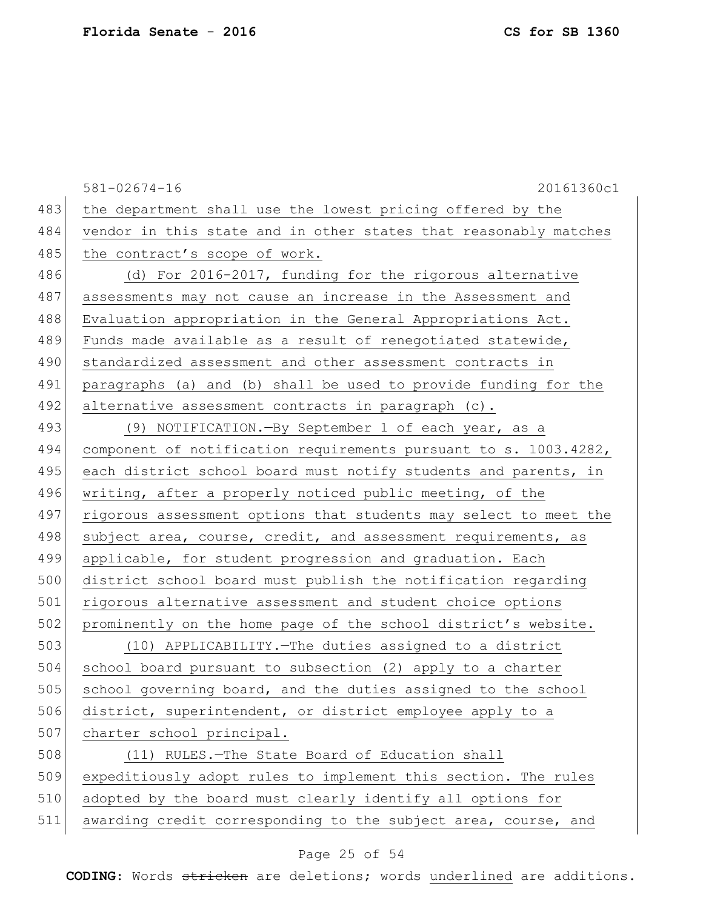581-02674-16 20161360c1 483 the department shall use the lowest pricing offered by the 484 vendor in this state and in other states that reasonably matches 485 the contract's scope of work. 486 (d) For 2016-2017, funding for the rigorous alternative 487 assessments may not cause an increase in the Assessment and 488 Evaluation appropriation in the General Appropriations Act. 489 Funds made available as a result of renegotiated statewide, 490 standardized assessment and other assessment contracts in 491 paragraphs (a) and (b) shall be used to provide funding for the 492 alternative assessment contracts in paragraph  $(c)$ . 493 (9) NOTIFICATION.—By September 1 of each year, as a 494 component of notification requirements pursuant to s. 1003.4282, 495 each district school board must notify students and parents, in 496 writing, after a properly noticed public meeting, of the 497 rigorous assessment options that students may select to meet the 498 subject area, course, credit, and assessment requirements, as 499 applicable, for student progression and graduation. Each 500 district school board must publish the notification regarding 501 rigorous alternative assessment and student choice options 502 prominently on the home page of the school district's website. 503 (10) APPLICABILITY.—The duties assigned to a district 504 school board pursuant to subsection (2) apply to a charter 505 school governing board, and the duties assigned to the school 506 district, superintendent, or district employee apply to a 507 charter school principal. 508 (11) RULES.—The State Board of Education shall 509 expeditiously adopt rules to implement this section. The rules 510 adopted by the board must clearly identify all options for 511 awarding credit corresponding to the subject area, course, and

### Page 25 of 54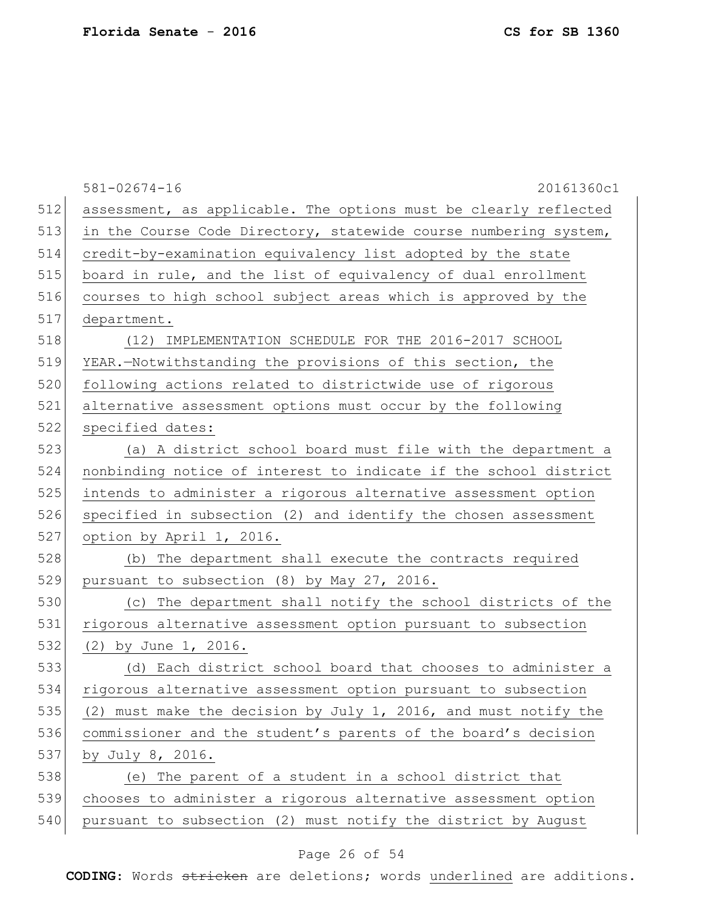581-02674-16 20161360c1 512 assessment, as applicable. The options must be clearly reflected 513 in the Course Code Directory, statewide course numbering system, credit-by-examination equivalency list adopted by the state board in rule, and the list of equivalency of dual enrollment courses to high school subject areas which is approved by the department. (12) IMPLEMENTATION SCHEDULE FOR THE 2016-2017 SCHOOL YEAR.—Notwithstanding the provisions of this section, the 520 following actions related to districtwide use of rigorous alternative assessment options must occur by the following 522 specified dates: (a) A district school board must file with the department a nonbinding notice of interest to indicate if the school district intends to administer a rigorous alternative assessment option specified in subsection (2) and identify the chosen assessment option by April 1, 2016. (b) The department shall execute the contracts required 529 pursuant to subsection  $(8)$  by May 27, 2016. (c) The department shall notify the school districts of the rigorous alternative assessment option pursuant to subsection 532 (2) by June 1, 2016. (d) Each district school board that chooses to administer a rigorous alternative assessment option pursuant to subsection 535 (2) must make the decision by July 1, 2016, and must notify the 536 commissioner and the student's parents of the board's decision by July 8, 2016. (e) The parent of a student in a school district that chooses to administer a rigorous alternative assessment option pursuant to subsection (2) must notify the district by August

### Page 26 of 54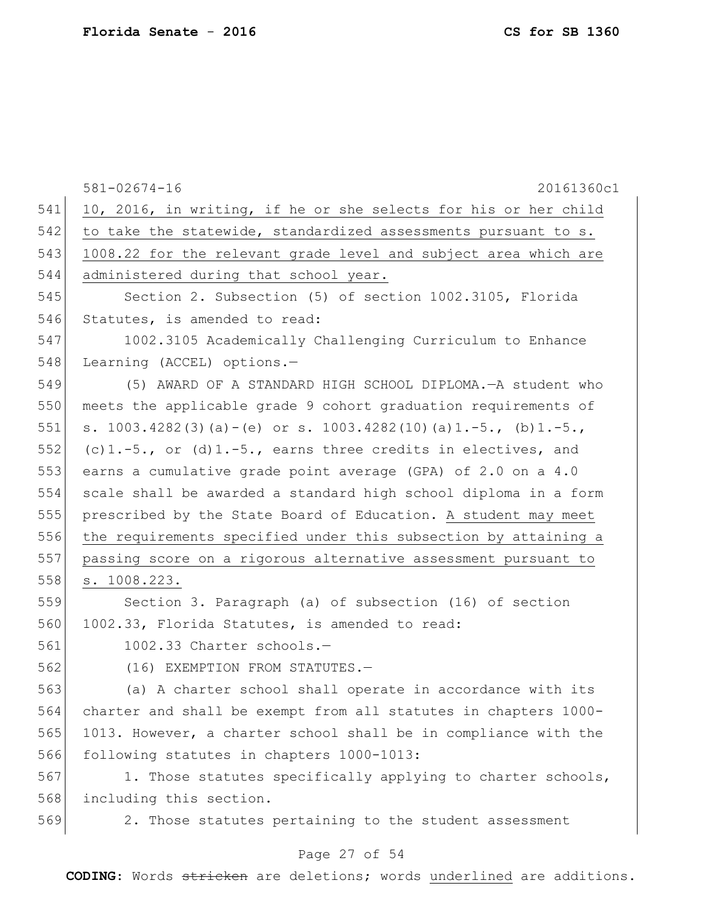581-02674-16 20161360c1 541 10, 2016, in writing, if he or she selects for his or her child 542 to take the statewide, standardized assessments pursuant to s. 543 1008.22 for the relevant grade level and subject area which are 544 administered during that school year. 545 Section 2. Subsection (5) of section 1002.3105, Florida 546 Statutes, is amended to read: 547 1002.3105 Academically Challenging Curriculum to Enhance 548 Learning (ACCEL) options.-549 (5) AWARD OF A STANDARD HIGH SCHOOL DIPLOMA.—A student who 550 meets the applicable grade 9 cohort graduation requirements of 551 s. 1003.4282(3)(a)-(e) or s. 1003.4282(10)(a)1.-5., (b)1.-5., 552 (c)1.-5., or (d)1.-5., earns three credits in electives, and 553 earns a cumulative grade point average (GPA) of 2.0 on a 4.0 554 scale shall be awarded a standard high school diploma in a form 555 prescribed by the State Board of Education. A student may meet 556 the requirements specified under this subsection by attaining a 557 passing score on a rigorous alternative assessment pursuant to 558 s. 1008.223. 559 Section 3. Paragraph (a) of subsection (16) of section 560 1002.33, Florida Statutes, is amended to read: 561 1002.33 Charter schools.— 562 (16) EXEMPTION FROM STATUTES.— 563 (a) A charter school shall operate in accordance with its 564 charter and shall be exempt from all statutes in chapters 1000- 565 1013. However, a charter school shall be in compliance with the 566 following statutes in chapters 1000-1013:  $567$  1. Those statutes specifically applying to charter schools, 568 including this section.

569 2. Those statutes pertaining to the student assessment

#### Page 27 of 54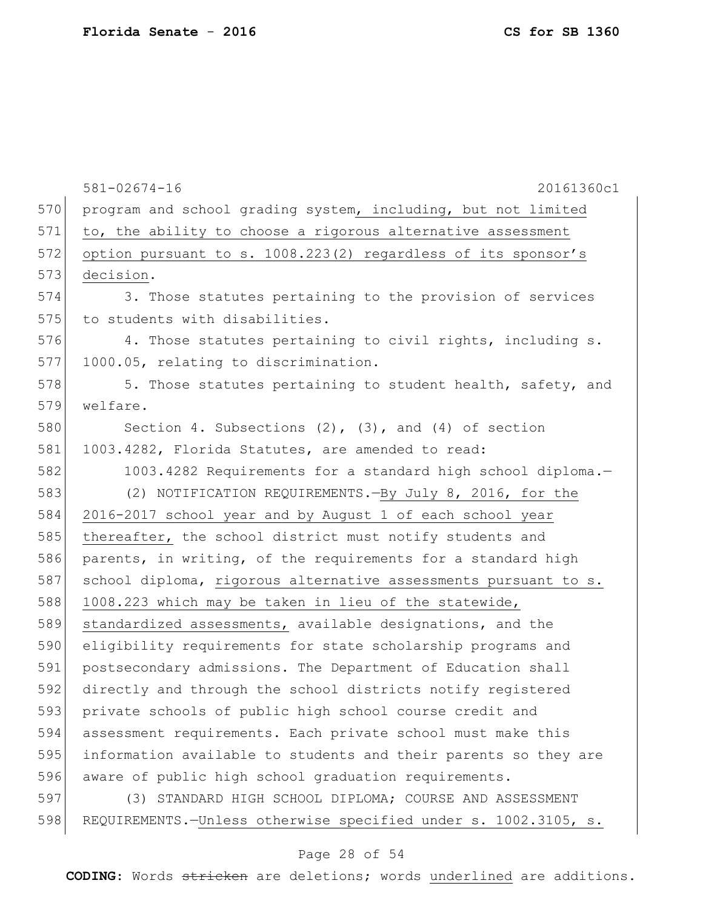|     | $581 - 02674 - 16$<br>20161360c1                                |
|-----|-----------------------------------------------------------------|
| 570 | program and school grading system, including, but not limited   |
| 571 | to, the ability to choose a rigorous alternative assessment     |
| 572 | option pursuant to s. 1008.223(2) regardless of its sponsor's   |
| 573 | decision.                                                       |
| 574 | 3. Those statutes pertaining to the provision of services       |
| 575 | to students with disabilities.                                  |
| 576 | 4. Those statutes pertaining to civil rights, including s.      |
| 577 | 1000.05, relating to discrimination.                            |
| 578 | 5. Those statutes pertaining to student health, safety, and     |
| 579 | welfare.                                                        |
| 580 | Section 4. Subsections $(2)$ , $(3)$ , and $(4)$ of section     |
| 581 | 1003.4282, Florida Statutes, are amended to read:               |
| 582 | 1003.4282 Requirements for a standard high school diploma.-     |
| 583 | (2) NOTIFICATION REQUIREMENTS. - By July 8, 2016, for the       |
| 584 | 2016-2017 school year and by August 1 of each school year       |
| 585 | thereafter, the school district must notify students and        |
| 586 | parents, in writing, of the requirements for a standard high    |
| 587 | school diploma, rigorous alternative assessments pursuant to s. |
| 588 | 1008.223 which may be taken in lieu of the statewide,           |
| 589 | standardized assessments, available designations, and the       |
| 590 | eligibility requirements for state scholarship programs and     |
| 591 | postsecondary admissions. The Department of Education shall     |
| 592 | directly and through the school districts notify registered     |
| 593 | private schools of public high school course credit and         |
| 594 | assessment requirements. Each private school must make this     |
| 595 | information available to students and their parents so they are |
| 596 | aware of public high school graduation requirements.            |
| 597 | (3) STANDARD HIGH SCHOOL DIPLOMA; COURSE AND ASSESSMENT         |
| 598 | REQUIREMENTS.-Unless otherwise specified under s. 1002.3105, s. |

# Page 28 of 54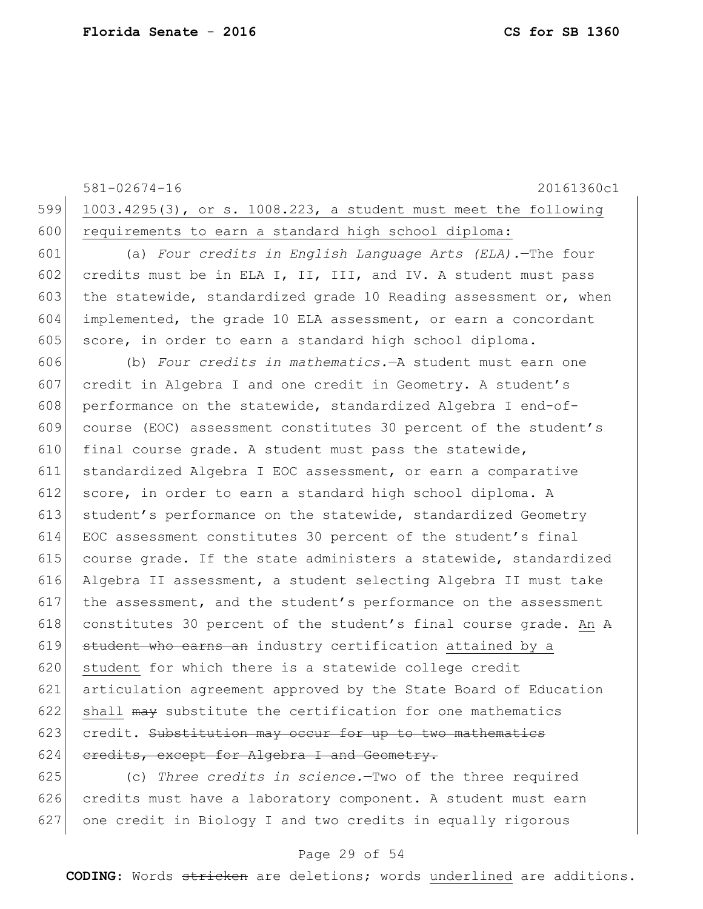|     | $581 - 02674 - 16$<br>20161360c1                                 |
|-----|------------------------------------------------------------------|
| 599 | 1003.4295(3), or s. 1008.223, a student must meet the following  |
| 600 | requirements to earn a standard high school diploma:             |
| 601 | (a) Four credits in English Language Arts (ELA). - The four      |
| 602 | credits must be in ELA I, II, III, and IV. A student must pass   |
| 603 | the statewide, standardized grade 10 Reading assessment or, when |
| 604 | implemented, the grade 10 ELA assessment, or earn a concordant   |
| 605 | score, in order to earn a standard high school diploma.          |
| 606 | (b) Four credits in mathematics. - A student must earn one       |
| 607 | credit in Algebra I and one credit in Geometry. A student's      |
| 608 | performance on the statewide, standardized Algebra I end-of-     |
| 609 | course (EOC) assessment constitutes 30 percent of the student's  |
| 610 | final course grade. A student must pass the statewide,           |
| 611 | standardized Algebra I EOC assessment, or earn a comparative     |
| 612 | score, in order to earn a standard high school diploma. A        |
| 613 | student's performance on the statewide, standardized Geometry    |
| 614 | EOC assessment constitutes 30 percent of the student's final     |
| 615 | course grade. If the state administers a statewide, standardized |
| 616 | Algebra II assessment, a student selecting Algebra II must take  |
| 617 | the assessment, and the student's performance on the assessment  |
| 618 | constitutes 30 percent of the student's final course grade. An A |
| 619 | student who earns an industry certification attained by a        |
| 620 | student for which there is a statewide college credit            |
| 621 | articulation agreement approved by the State Board of Education  |
| 622 | shall may substitute the certification for one mathematics       |
| 623 | credit. Substitution may occur for up to two mathematics         |
| 624 | eredits, except for Algebra I and Geometry.                      |
| 625 | (c) Three credits in science -Two of the three required          |

625 (c) *Three credits in science.*—Two of the three required 626 credits must have a laboratory component. A student must earn 627 one credit in Biology I and two credits in equally rigorous

### Page 29 of 54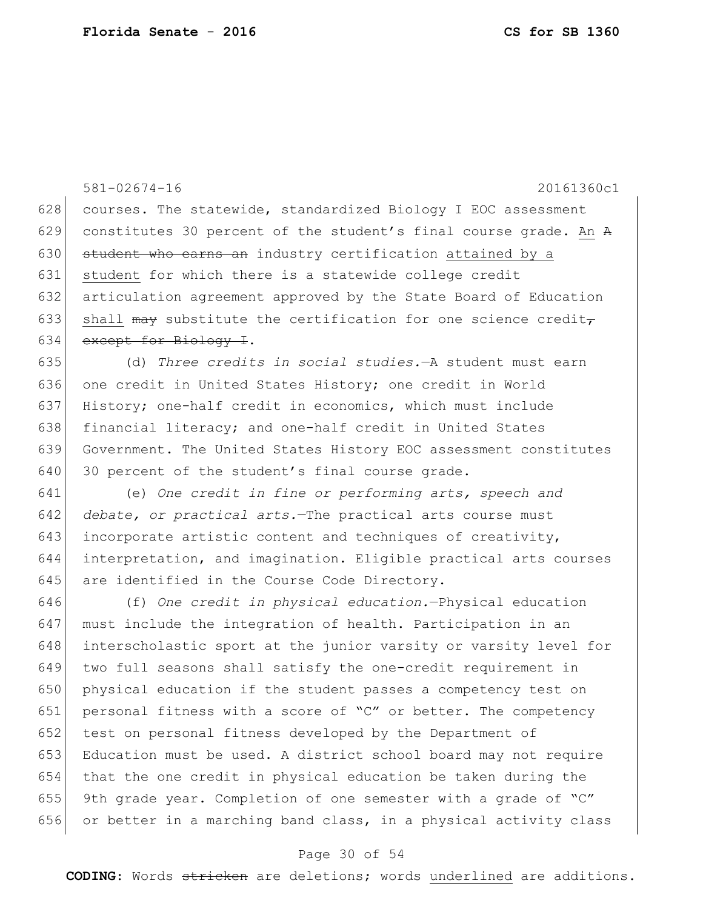581-02674-16 20161360c1 628 courses. The statewide, standardized Biology I EOC assessment 629 constitutes 30 percent of the student's final course grade. An  $A$ 630 student who earns an industry certification attained by a 631 student for which there is a statewide college credit 632 articulation agreement approved by the State Board of Education 633 shall may substitute the certification for one science credit $_{\tau}$ 634 except for Biology I. 635 (d) *Three credits in social studies.*—A student must earn 636 one credit in United States History; one credit in World 637 History; one-half credit in economics, which must include 638 financial literacy; and one-half credit in United States 639 Government. The United States History EOC assessment constitutes 640 30 percent of the student's final course grade. 641 (e) *One credit in fine or performing arts, speech and*  642 *debate, or practical arts.*—The practical arts course must 643 incorporate artistic content and techniques of creativity, 644 interpretation, and imagination. Eligible practical arts courses 645 are identified in the Course Code Directory. 646 (f) *One credit in physical education.*—Physical education 647 must include the integration of health. Participation in an 648 interscholastic sport at the junior varsity or varsity level for 649 two full seasons shall satisfy the one-credit requirement in 650 physical education if the student passes a competency test on 651 personal fitness with a score of "C" or better. The competency 652 test on personal fitness developed by the Department of 653 Education must be used. A district school board may not require 654 that the one credit in physical education be taken during the 655 9th grade year. Completion of one semester with a grade of "C" 656 or better in a marching band class, in a physical activity class

### Page 30 of 54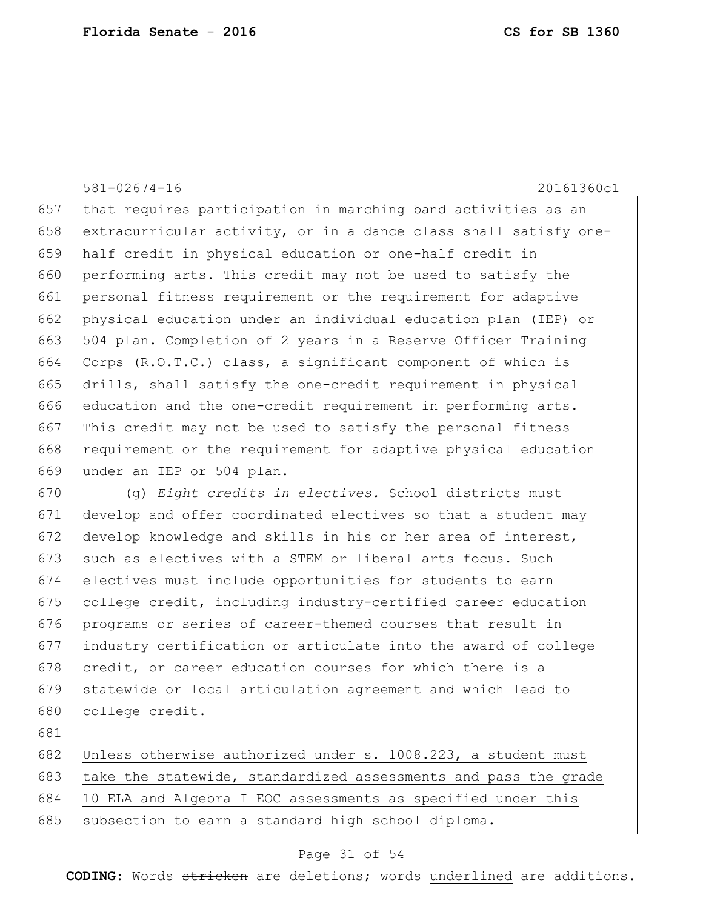581-02674-16 20161360c1 657 that requires participation in marching band activities as an 658 extracurricular activity, or in a dance class shall satisfy one-659 half credit in physical education or one-half credit in 660 performing arts. This credit may not be used to satisfy the 661 personal fitness requirement or the requirement for adaptive 662 physical education under an individual education plan (IEP) or 663 504 plan. Completion of 2 years in a Reserve Officer Training 664 Corps (R.O.T.C.) class, a significant component of which is 665 drills, shall satisfy the one-credit requirement in physical 666 education and the one-credit requirement in performing arts. 667 This credit may not be used to satisfy the personal fitness 668 requirement or the requirement for adaptive physical education 669 under an IEP or 504 plan.

 (g) *Eight credits in electives.*—School districts must develop and offer coordinated electives so that a student may develop knowledge and skills in his or her area of interest, 673 such as electives with a STEM or liberal arts focus. Such electives must include opportunities for students to earn college credit, including industry-certified career education programs or series of career-themed courses that result in industry certification or articulate into the award of college 678 credit, or career education courses for which there is a statewide or local articulation agreement and which lead to college credit.

681

682 Unless otherwise authorized under s. 1008.223, a student must 683 take the statewide, standardized assessments and pass the grade 684 10 ELA and Algebra I EOC assessments as specified under this 685 subsection to earn a standard high school diploma.

### Page 31 of 54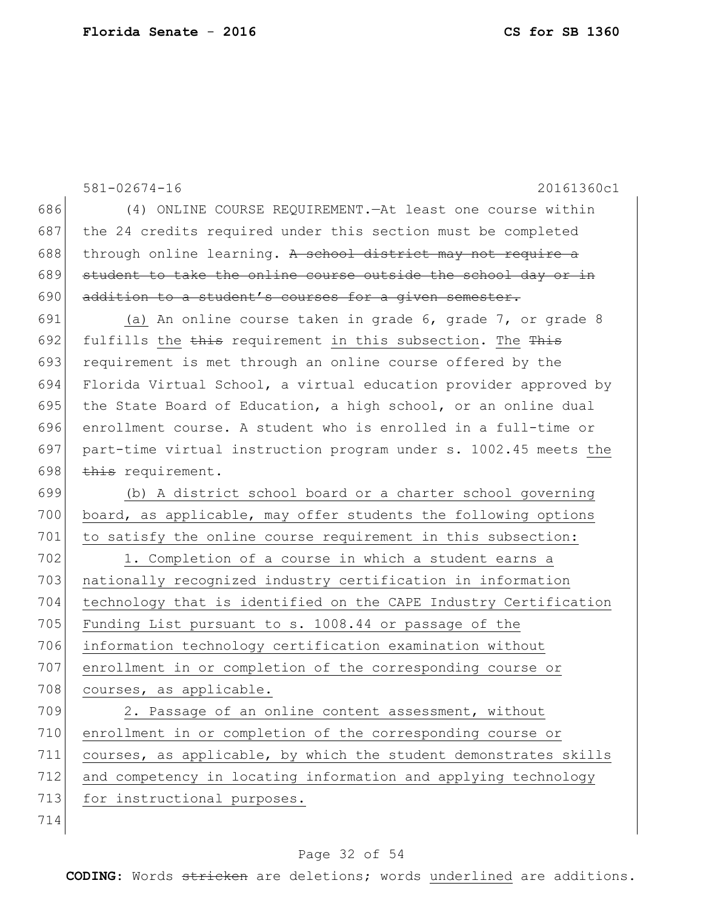|     | 20161360c1<br>$581 - 02674 - 16$                                 |
|-----|------------------------------------------------------------------|
| 686 | (4) ONLINE COURSE REQUIREMENT. - At least one course within      |
| 687 | the 24 credits required under this section must be completed     |
| 688 | through online learning. A school district may not require a     |
| 689 | student to take the online course outside the school day or in   |
| 690 | addition to a student's courses for a given semester.            |
| 691 | (a) An online course taken in grade 6, grade 7, or grade 8       |
| 692 | fulfills the this requirement in this subsection. The This       |
| 693 | requirement is met through an online course offered by the       |
| 694 | Florida Virtual School, a virtual education provider approved by |
| 695 | the State Board of Education, a high school, or an online dual   |
| 696 | enrollment course. A student who is enrolled in a full-time or   |
| 697 | part-time virtual instruction program under s. 1002.45 meets the |
| 698 | this requirement.                                                |
| 699 | (b) A district school board or a charter school governing        |
| 700 | board, as applicable, may offer students the following options   |
| 701 | to satisfy the online course requirement in this subsection:     |
| 702 | 1. Completion of a course in which a student earns a             |
| 703 | nationally recognized industry certification in information      |
| 704 | technology that is identified on the CAPE Industry Certification |
| 705 | Funding List pursuant to s. 1008.44 or passage of the            |
| 706 | information technology certification examination without         |
| 707 | enrollment in or completion of the corresponding course or       |
| 708 | courses, as applicable.                                          |
| 709 | 2. Passage of an online content assessment, without              |
| 710 | enrollment in or completion of the corresponding course or       |
| 711 | courses, as applicable, by which the student demonstrates skills |
| 712 | and competency in locating information and applying technology   |
| 713 | for instructional purposes.                                      |
| 714 |                                                                  |

# Page 32 of 54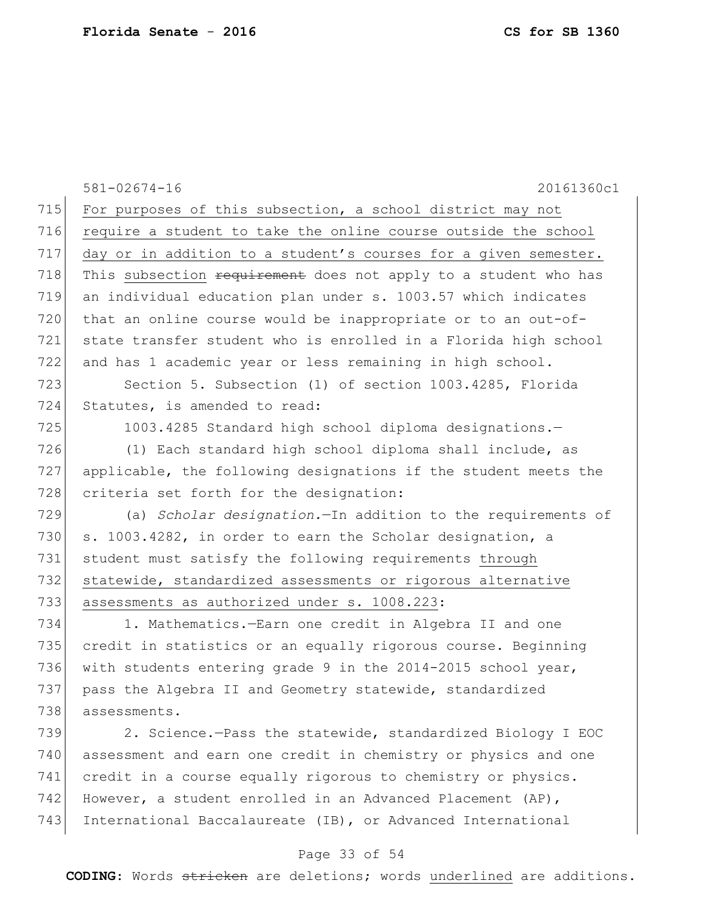|     | 20161360c1<br>$581 - 02674 - 16$                                |
|-----|-----------------------------------------------------------------|
| 715 | For purposes of this subsection, a school district may not      |
| 716 | require a student to take the online course outside the school  |
| 717 | day or in addition to a student's courses for a given semester. |
| 718 | This subsection requirement does not apply to a student who has |
| 719 | an individual education plan under s. 1003.57 which indicates   |
| 720 | that an online course would be inappropriate or to an out-of-   |
| 721 | state transfer student who is enrolled in a Florida high school |
| 722 | and has 1 academic year or less remaining in high school.       |
| 723 | Section 5. Subsection (1) of section 1003.4285, Florida         |
| 724 | Statutes, is amended to read:                                   |
| 725 | 1003.4285 Standard high school diploma designations.-           |
| 726 | (1) Each standard high school diploma shall include, as         |
| 727 | applicable, the following designations if the student meets the |
| 728 | criteria set forth for the designation:                         |
| 729 | (a) Scholar designation. - In addition to the requirements of   |
| 730 | s. 1003.4282, in order to earn the Scholar designation, a       |
| 731 | student must satisfy the following requirements through         |
| 732 | statewide, standardized assessments or rigorous alternative     |
| 733 | assessments as authorized under s. 1008.223:                    |
| 734 | 1. Mathematics. - Earn one credit in Algebra II and one         |
| 735 | credit in statistics or an equally rigorous course. Beginning   |
| 736 | with students entering grade 9 in the 2014-2015 school year,    |
| 737 | pass the Algebra II and Geometry statewide, standardized        |
| 738 | assessments.                                                    |
| 739 | 2. Science.-Pass the statewide, standardized Biology I EOC      |
| 740 | assessment and earn one credit in chemistry or physics and one  |
| 741 | credit in a course equally rigorous to chemistry or physics.    |
| 742 | However, a student enrolled in an Advanced Placement (AP),      |
| 743 | International Baccalaureate (IB), or Advanced International     |

# Page 33 of 54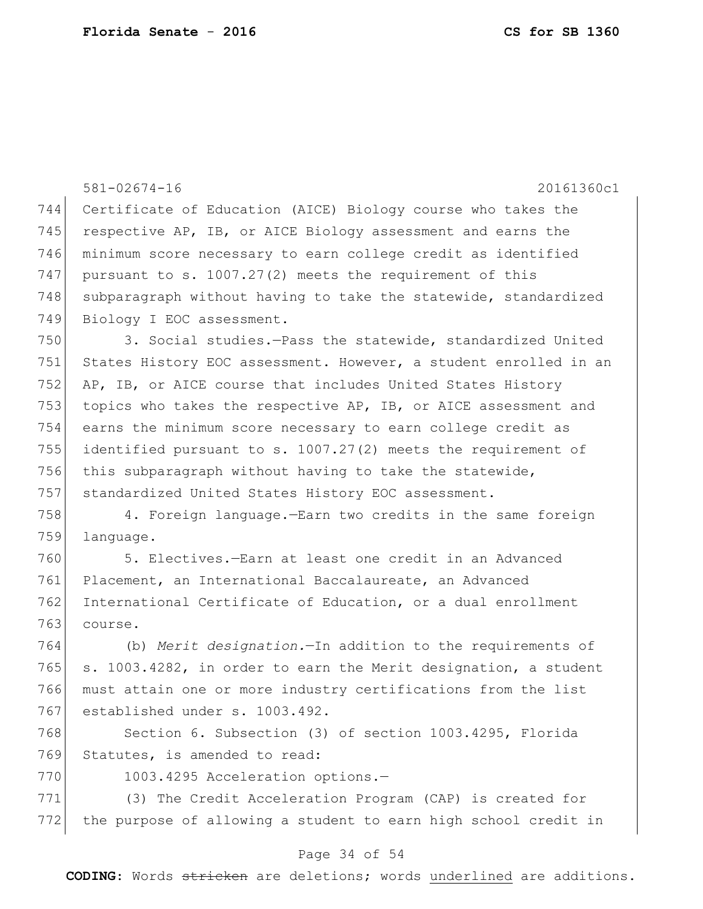|     | $581 - 02674 - 16$<br>20161360c1                                 |
|-----|------------------------------------------------------------------|
| 744 | Certificate of Education (AICE) Biology course who takes the     |
| 745 | respective AP, IB, or AICE Biology assessment and earns the      |
| 746 | minimum score necessary to earn college credit as identified     |
| 747 | pursuant to s. $1007.27(2)$ meets the requirement of this        |
| 748 | subparagraph without having to take the statewide, standardized  |
| 749 | Biology I EOC assessment.                                        |
| 750 | 3. Social studies.-Pass the statewide, standardized United       |
| 751 | States History EOC assessment. However, a student enrolled in an |
| 752 | AP, IB, or AICE course that includes United States History       |
| 753 | topics who takes the respective AP, IB, or AICE assessment and   |
| 754 | earns the minimum score necessary to earn college credit as      |
| 755 | identified pursuant to s. 1007.27(2) meets the requirement of    |
| 756 | this subparagraph without having to take the statewide,          |
| 757 | standardized United States History EOC assessment.               |
| 758 | 4. Foreign language. - Earn two credits in the same foreign      |
| 759 | language.                                                        |
| 760 | 5. Electives.-Earn at least one credit in an Advanced            |
| 761 | Placement, an International Baccalaureate, an Advanced           |
| 762 | International Certificate of Education, or a dual enrollment     |
| 763 | course.                                                          |
| 764 | (b) Merit designation. - In addition to the requirements of      |
| 765 | s. 1003.4282, in order to earn the Merit designation, a student  |
| 766 | must attain one or more industry certifications from the list    |
| 767 | established under s. 1003.492.                                   |
| 768 | Section 6. Subsection (3) of section 1003.4295, Florida          |
| 769 | Statutes, is amended to read:                                    |
| 770 | 1003.4295 Acceleration options.-                                 |
| 771 | (3) The Credit Acceleration Program (CAP) is created for         |
| 772 | the purpose of allowing a student to earn high school credit in  |

# Page 34 of 54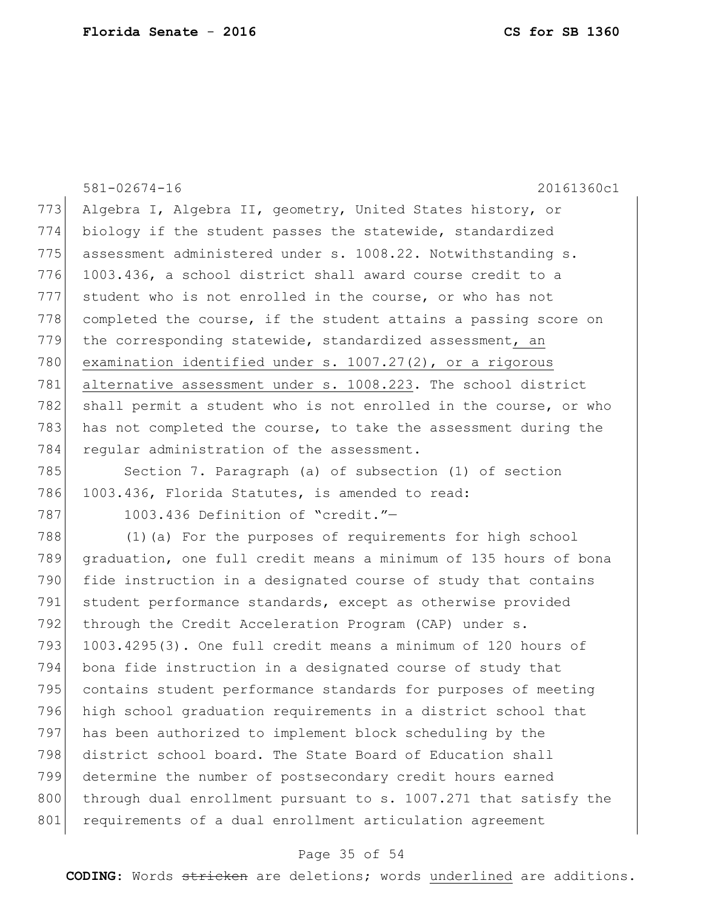581-02674-16 20161360c1 773 Algebra I, Algebra II, geometry, United States history, or 774 biology if the student passes the statewide, standardized 775 assessment administered under s. 1008.22. Notwithstanding s. 776 1003.436, a school district shall award course credit to a 777 student who is not enrolled in the course, or who has not  $778$  completed the course, if the student attains a passing score on 779 the corresponding statewide, standardized assessment, an 780 examination identified under s. 1007.27(2), or a rigorous 781 alternative assessment under s. 1008.223. The school district 782 shall permit a student who is not enrolled in the course, or who 783 has not completed the course, to take the assessment during the 784 regular administration of the assessment. 785 Section 7. Paragraph (a) of subsection (1) of section 786 1003.436, Florida Statutes, is amended to read: 787 1003.436 Definition of "credit."-788 (1) (a) For the purposes of requirements for high school 789 graduation, one full credit means a minimum of 135 hours of bona 790 fide instruction in a designated course of study that contains 791 student performance standards, except as otherwise provided 792 through the Credit Acceleration Program (CAP) under s. 793  $1003.4295(3)$ . One full credit means a minimum of 120 hours of 794 bona fide instruction in a designated course of study that 795 contains student performance standards for purposes of meeting 796 high school graduation requirements in a district school that 797 has been authorized to implement block scheduling by the 798 district school board. The State Board of Education shall

799 determine the number of postsecondary credit hours earned 800 through dual enrollment pursuant to s. 1007.271 that satisfy the 801 requirements of a dual enrollment articulation agreement

### Page 35 of 54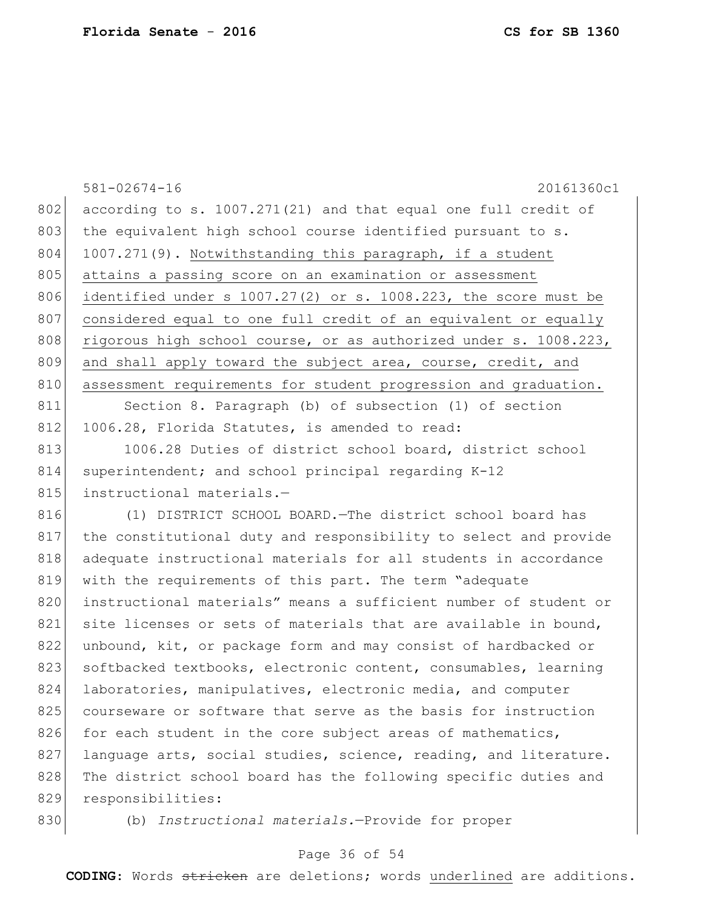|     | $581 - 02674 - 16$<br>20161360c1                                     |
|-----|----------------------------------------------------------------------|
| 802 | according to s. 1007.271(21) and that equal one full credit of       |
| 803 | the equivalent high school course identified pursuant to s.          |
| 804 | 1007.271(9). Notwithstanding this paragraph, if a student            |
| 805 | attains a passing score on an examination or assessment              |
| 806 | identified under $s$ 1007.27(2) or $s$ . 1008.223, the score must be |
| 807 | considered equal to one full credit of an equivalent or equally      |
| 808 | rigorous high school course, or as authorized under s. 1008.223,     |
| 809 | and shall apply toward the subject area, course, credit, and         |
| 810 | assessment requirements for student progression and graduation.      |
| 811 | Section 8. Paragraph (b) of subsection (1) of section                |
| 812 | 1006.28, Florida Statutes, is amended to read:                       |
| 813 | 1006.28 Duties of district school board, district school             |
| 814 | superintendent; and school principal regarding K-12                  |
| 815 | instructional materials.-                                            |
| 816 | (1) DISTRICT SCHOOL BOARD. The district school board has             |
| 817 | the constitutional duty and responsibility to select and provide     |
| 818 | adequate instructional materials for all students in accordance      |
| 819 | with the requirements of this part. The term "adequate               |
| 820 | instructional materials" means a sufficient number of student or     |
| 821 | site licenses or sets of materials that are available in bound,      |
| 822 | unbound, kit, or package form and may consist of hardbacked or       |
| 823 | softbacked textbooks, electronic content, consumables, learning      |
| 824 | laboratories, manipulatives, electronic media, and computer          |
| 825 | courseware or software that serve as the basis for instruction       |
| 826 | for each student in the core subject areas of mathematics,           |
| 827 | language arts, social studies, science, reading, and literature.     |
| 828 | The district school board has the following specific duties and      |
| 829 | responsibilities:                                                    |
| 830 | (b) Instructional materials.-Provide for proper                      |

# Page 36 of 54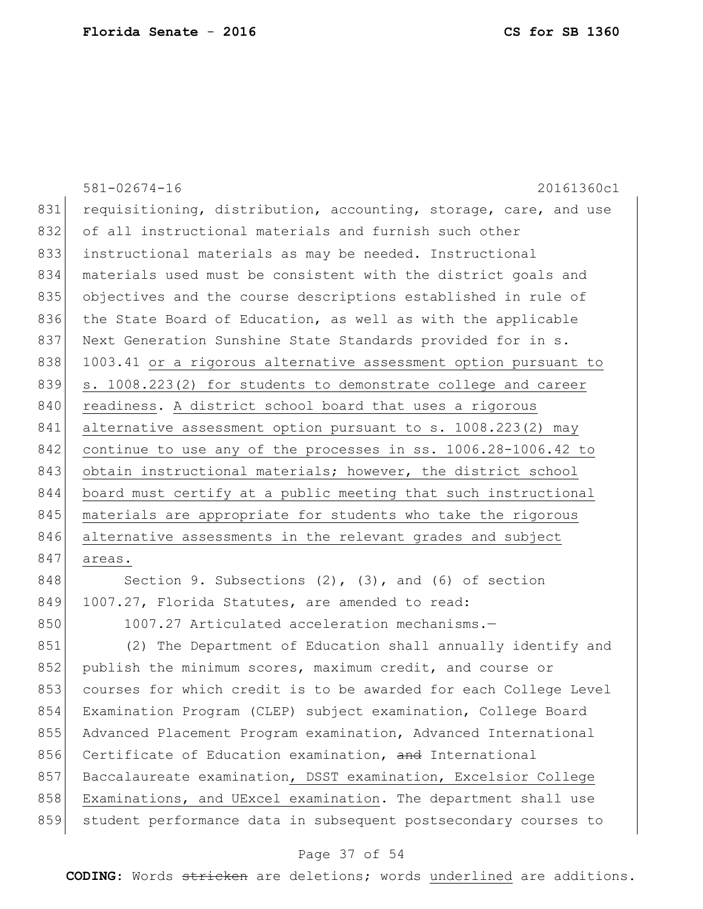|     | $581 - 02674 - 16$<br>20161360c1                                 |
|-----|------------------------------------------------------------------|
| 831 | requisitioning, distribution, accounting, storage, care, and use |
| 832 | of all instructional materials and furnish such other            |
| 833 | instructional materials as may be needed. Instructional          |
| 834 | materials used must be consistent with the district goals and    |
| 835 | objectives and the course descriptions established in rule of    |
| 836 | the State Board of Education, as well as with the applicable     |
| 837 | Next Generation Sunshine State Standards provided for in s.      |
| 838 | 1003.41 or a rigorous alternative assessment option pursuant to  |
| 839 | s. 1008.223(2) for students to demonstrate college and career    |
| 840 | readiness. A district school board that uses a rigorous          |
| 841 | alternative assessment option pursuant to s. 1008.223(2) may     |
| 842 | continue to use any of the processes in ss. 1006.28-1006.42 to   |
| 843 | obtain instructional materials; however, the district school     |
| 844 | board must certify at a public meeting that such instructional   |
| 845 | materials are appropriate for students who take the rigorous     |
| 846 | alternative assessments in the relevant grades and subject       |
| 847 | areas.                                                           |
| 848 | Section 9. Subsections $(2)$ , $(3)$ , and $(6)$ of section      |
| 849 | 1007.27, Florida Statutes, are amended to read:                  |
| 850 | 1007.27 Articulated acceleration mechanisms.-                    |
| 851 | (2) The Department of Education shall annually identify and      |
| 852 | publish the minimum scores, maximum credit, and course or        |
| 853 | courses for which credit is to be awarded for each College Level |

855 Advanced Placement Program examination, Advanced International

856 Certificate of Education examination, and International

857 Baccalaureate examination, DSST examination, Excelsior College 858 Examinations, and UExcel examination. The department shall use

854 Examination Program (CLEP) subject examination, College Board

859 student performance data in subsequent postsecondary courses to

### Page 37 of 54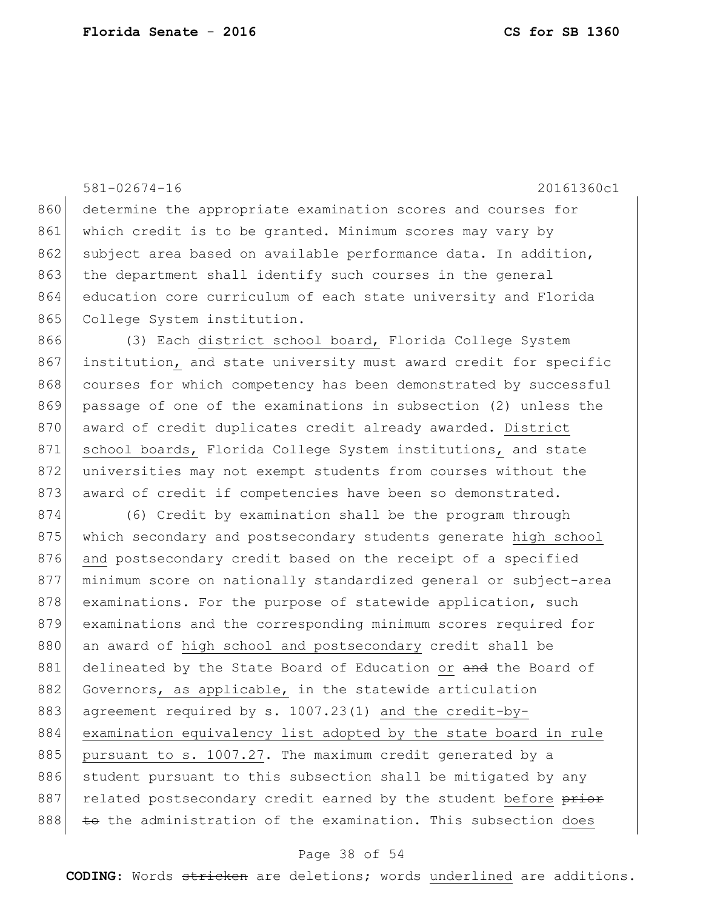581-02674-16 20161360c1 860 determine the appropriate examination scores and courses for 861 which credit is to be granted. Minimum scores may vary by 862 subject area based on available performance data. In addition, 863 the department shall identify such courses in the general 864 education core curriculum of each state university and Florida 865 College System institution. 866 (3) Each district school board, Florida College System 867 institution, and state university must award credit for specific 868 courses for which competency has been demonstrated by successful 869 passage of one of the examinations in subsection (2) unless the 870 award of credit duplicates credit already awarded. District 871 school boards, Florida College System institutions, and state 872 universities may not exempt students from courses without the 873 award of credit if competencies have been so demonstrated. 874 (6) Credit by examination shall be the program through 875 which secondary and postsecondary students generate high school 876 and postsecondary credit based on the receipt of a specified 877 minimum score on nationally standardized general or subject-area 878 examinations. For the purpose of statewide application, such 879 examinations and the corresponding minimum scores required for 880 an award of high school and postsecondary credit shall be 881 delineated by the State Board of Education or and the Board of 882 Governors, as applicable, in the statewide articulation 883 agreement required by s. 1007.23(1) and the credit-by-884 examination equivalency list adopted by the state board in rule 885 pursuant to s. 1007.27. The maximum credit generated by a 886 student pursuant to this subsection shall be mitigated by any 887 related postsecondary credit earned by the student before prior 888 to the administration of the examination. This subsection does

#### Page 38 of 54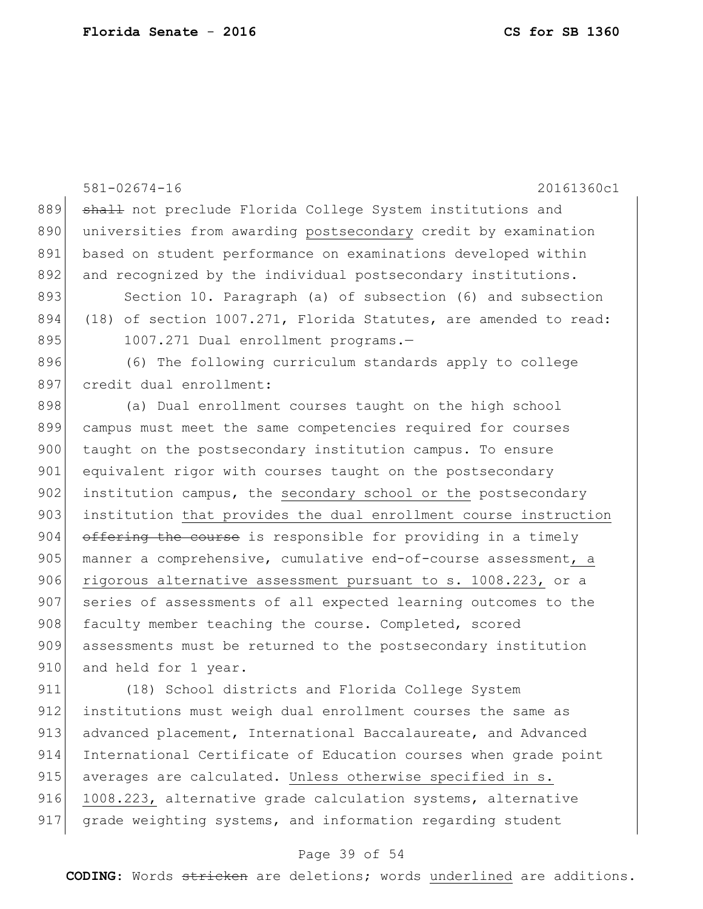581-02674-16 20161360c1 889 shall not preclude Florida College System institutions and 890 universities from awarding postsecondary credit by examination 891 based on student performance on examinations developed within 892 and recognized by the individual postsecondary institutions. 893 Section 10. Paragraph (a) of subsection (6) and subsection 894 (18) of section 1007.271, Florida Statutes, are amended to read: 895 1007.271 Dual enrollment programs.-896 (6) The following curriculum standards apply to college 897 credit dual enrollment: 898 (a) Dual enrollment courses taught on the high school 899 campus must meet the same competencies required for courses 900 taught on the postsecondary institution campus. To ensure 901 equivalent rigor with courses taught on the postsecondary 902 institution campus, the secondary school or the postsecondary 903 institution that provides the dual enrollment course instruction 904 offering the course is responsible for providing in a timely 905 manner a comprehensive, cumulative end-of-course assessment, a 906 rigorous alternative assessment pursuant to s. 1008.223, or a 907 series of assessments of all expected learning outcomes to the 908 faculty member teaching the course. Completed, scored 909 assessments must be returned to the postsecondary institution 910 and held for 1 year. 911 (18) School districts and Florida College System 912 institutions must weigh dual enrollment courses the same as 913 advanced placement, International Baccalaureate, and Advanced 914 International Certificate of Education courses when grade point

916 1008.223, alternative grade calculation systems, alternative 917 grade weighting systems, and information regarding student

915 averages are calculated. Unless otherwise specified in s.

#### Page 39 of 54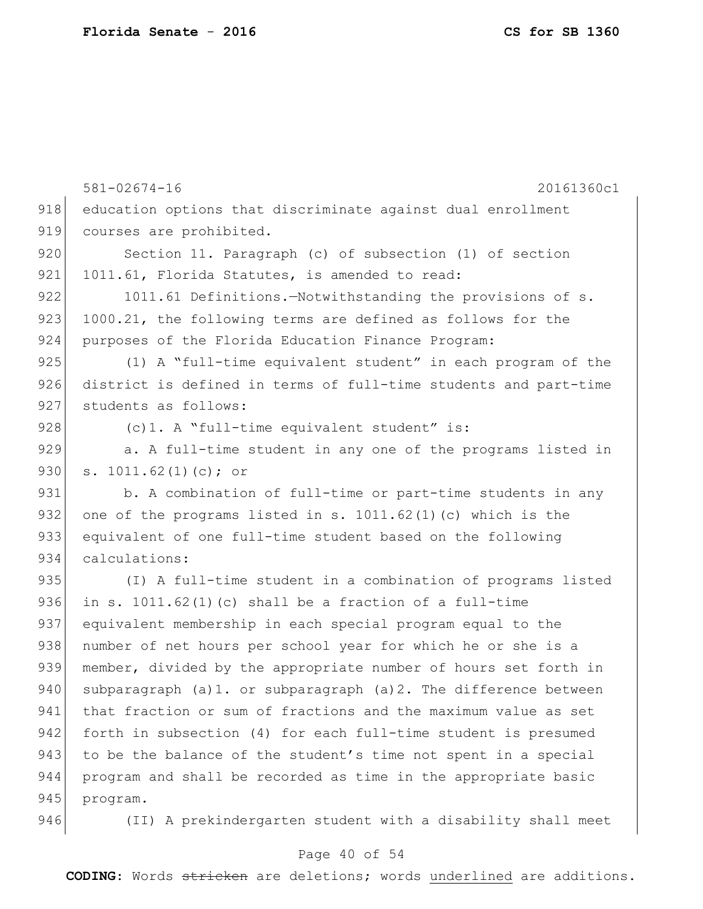|     | $581 - 02674 - 16$<br>20161360c1                                 |
|-----|------------------------------------------------------------------|
| 918 | education options that discriminate against dual enrollment      |
| 919 | courses are prohibited.                                          |
| 920 | Section 11. Paragraph (c) of subsection (1) of section           |
| 921 | 1011.61, Florida Statutes, is amended to read:                   |
| 922 | 1011.61 Definitions.-Notwithstanding the provisions of s.        |
| 923 | 1000.21, the following terms are defined as follows for the      |
| 924 | purposes of the Florida Education Finance Program:               |
| 925 | (1) A "full-time equivalent student" in each program of the      |
| 926 | district is defined in terms of full-time students and part-time |
| 927 | students as follows:                                             |
| 928 | (c) 1. A "full-time equivalent student" is:                      |
| 929 | a. A full-time student in any one of the programs listed in      |
| 930 | s. $1011.62(1)(c)$ ; or                                          |
| 931 | b. A combination of full-time or part-time students in any       |
| 932 | one of the programs listed in s. $1011.62(1)$ (c) which is the   |
| 933 | equivalent of one full-time student based on the following       |
| 934 | calculations:                                                    |
| 935 | (I) A full-time student in a combination of programs listed      |
| 936 | in s. $1011.62(1)(c)$ shall be a fraction of a full-time         |
| 937 | equivalent membership in each special program equal to the       |
| 938 | number of net hours per school year for which he or she is a     |
| 939 | member, divided by the appropriate number of hours set forth in  |
| 940 | subparagraph (a)1. or subparagraph (a)2. The difference between  |
| 941 | that fraction or sum of fractions and the maximum value as set   |
| 942 | forth in subsection (4) for each full-time student is presumed   |
| 943 | to be the balance of the student's time not spent in a special   |
| 944 | program and shall be recorded as time in the appropriate basic   |
| 945 | program.                                                         |
| 946 | (II) A prekindergarten student with a disability shall meet      |

# Page 40 of 54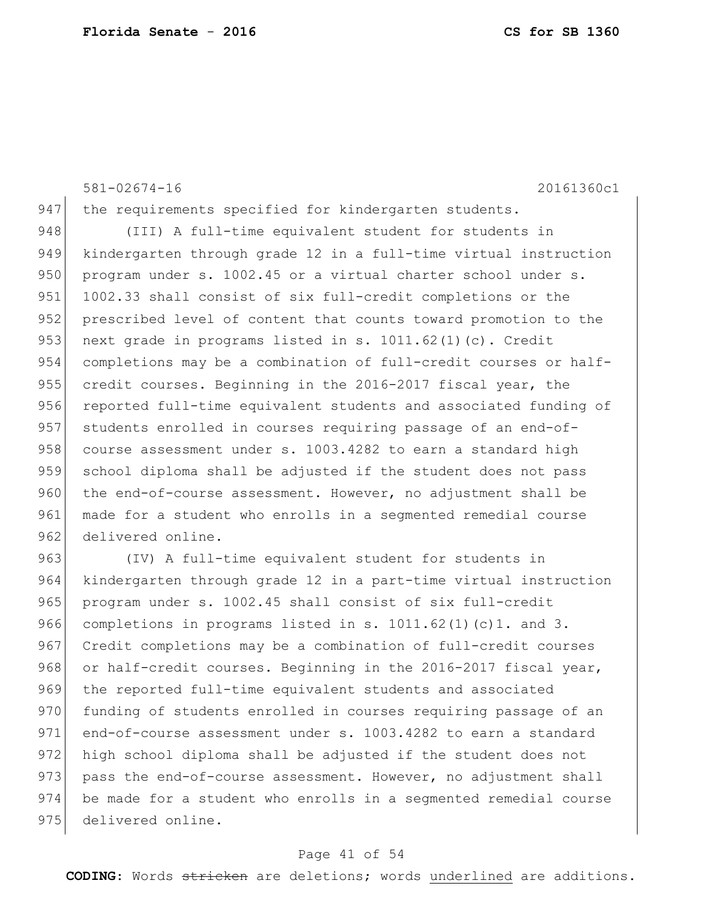581-02674-16 20161360c1

947 the requirements specified for kindergarten students.

948 (III) A full-time equivalent student for students in 949 kindergarten through grade 12 in a full-time virtual instruction 950 program under s. 1002.45 or a virtual charter school under s. 951 1002.33 shall consist of six full-credit completions or the 952 prescribed level of content that counts toward promotion to the 953 next grade in programs listed in s. 1011.62(1)(c). Credit 954 completions may be a combination of full-credit courses or half-955 credit courses. Beginning in the 2016-2017 fiscal year, the 956 reported full-time equivalent students and associated funding of 957 students enrolled in courses requiring passage of an end-of-958 course assessment under s.  $1003.4282$  to earn a standard high 959 school diploma shall be adjusted if the student does not pass 960 the end-of-course assessment. However, no adjustment shall be 961 made for a student who enrolls in a segmented remedial course 962 delivered online.

963 (IV) A full-time equivalent student for students in 964 kindergarten through grade 12 in a part-time virtual instruction 965 program under s. 1002.45 shall consist of six full-credit 966 completions in programs listed in s. 1011.62(1)(c)1. and 3. 967 Credit completions may be a combination of full-credit courses 968 or half-credit courses. Beginning in the 2016-2017 fiscal year, 969 the reported full-time equivalent students and associated 970 funding of students enrolled in courses requiring passage of an 971 end-of-course assessment under s. 1003.4282 to earn a standard 972 high school diploma shall be adjusted if the student does not 973 pass the end-of-course assessment. However, no adjustment shall 974 be made for a student who enrolls in a segmented remedial course 975 delivered online.

#### Page 41 of 54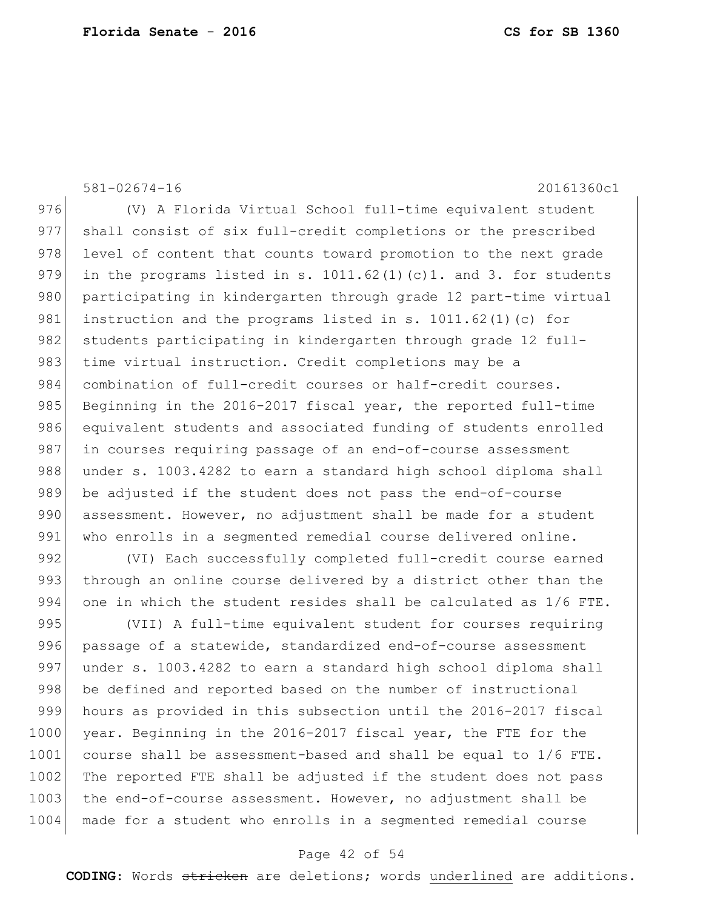581-02674-16 20161360c1 976 (V) A Florida Virtual School full-time equivalent student 977 shall consist of six full-credit completions or the prescribed 978 level of content that counts toward promotion to the next grade 979 in the programs listed in s.  $1011.62(1)(c)1$ . and 3. for students 980 participating in kindergarten through grade 12 part-time virtual 981 instruction and the programs listed in s. 1011.62(1)(c) for 982 students participating in kindergarten through grade 12 full-983 time virtual instruction. Credit completions may be a 984 combination of full-credit courses or half-credit courses. 985 Beginning in the 2016-2017 fiscal year, the reported full-time 986 equivalent students and associated funding of students enrolled

987 in courses requiring passage of an end-of-course assessment 988 under s. 1003.4282 to earn a standard high school diploma shall 989 be adjusted if the student does not pass the end-of-course 990 assessment. However, no adjustment shall be made for a student 991 who enrolls in a seqmented remedial course delivered online.

992 (VI) Each successfully completed full-credit course earned 993 through an online course delivered by a district other than the 994 one in which the student resides shall be calculated as 1/6 FTE.

995 (VII) A full-time equivalent student for courses requiring 996 passage of a statewide, standardized end-of-course assessment 997 under s. 1003.4282 to earn a standard high school diploma shall 998 be defined and reported based on the number of instructional 999 hours as provided in this subsection until the 2016-2017 fiscal 1000 year. Beginning in the 2016-2017 fiscal year, the FTE for the 1001 course shall be assessment-based and shall be equal to 1/6 FTE. 1002 The reported FTE shall be adjusted if the student does not pass 1003 the end-of-course assessment. However, no adjustment shall be 1004 made for a student who enrolls in a segmented remedial course

#### Page 42 of 54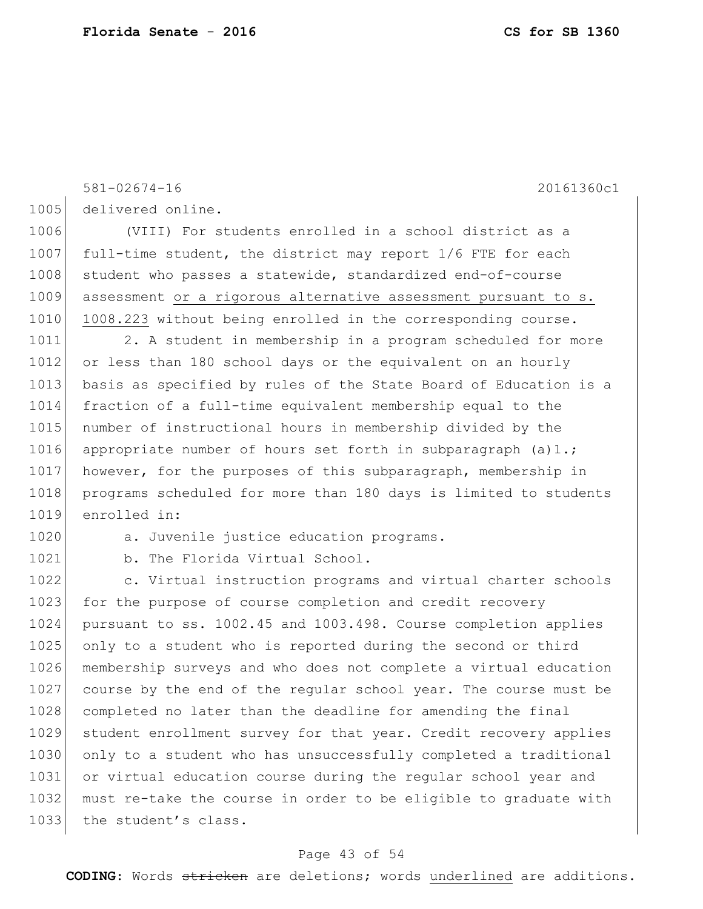1005 delivered online. 1006 (VIII) For students enrolled in a school district as a 1007 full-time student, the district may report  $1/6$  FTE for each 1008 | student who passes a statewide, standardized end-of-course 1009 assessment or a rigorous alternative assessment pursuant to s. 1010 1008.223 without being enrolled in the corresponding course. 1011 2. A student in membership in a program scheduled for more 1012 or less than 180 school days or the equivalent on an hourly 1013 basis as specified by rules of the State Board of Education is a 1014 fraction of a full-time equivalent membership equal to the 1015 | number of instructional hours in membership divided by the 1016 appropriate number of hours set forth in subparagraph  $(a)1$ .; 1017 however, for the purposes of this subparagraph, membership in 1018 programs scheduled for more than 180 days is limited to students 1019 enrolled in: 1020 a. Juvenile justice education programs. 1021 b. The Florida Virtual School. 1022 c. Virtual instruction programs and virtual charter schools 1023 for the purpose of course completion and credit recovery

581-02674-16 20161360c1

1024 pursuant to ss. 1002.45 and 1003.498. Course completion applies 1025 only to a student who is reported during the second or third 1026 membership surveys and who does not complete a virtual education 1027 course by the end of the regular school year. The course must be 1028 completed no later than the deadline for amending the final 1029 student enrollment survey for that year. Credit recovery applies 1030 only to a student who has unsuccessfully completed a traditional 1031 or virtual education course during the regular school year and 1032 must re-take the course in order to be eligible to graduate with 1033 the student's class.

### Page 43 of 54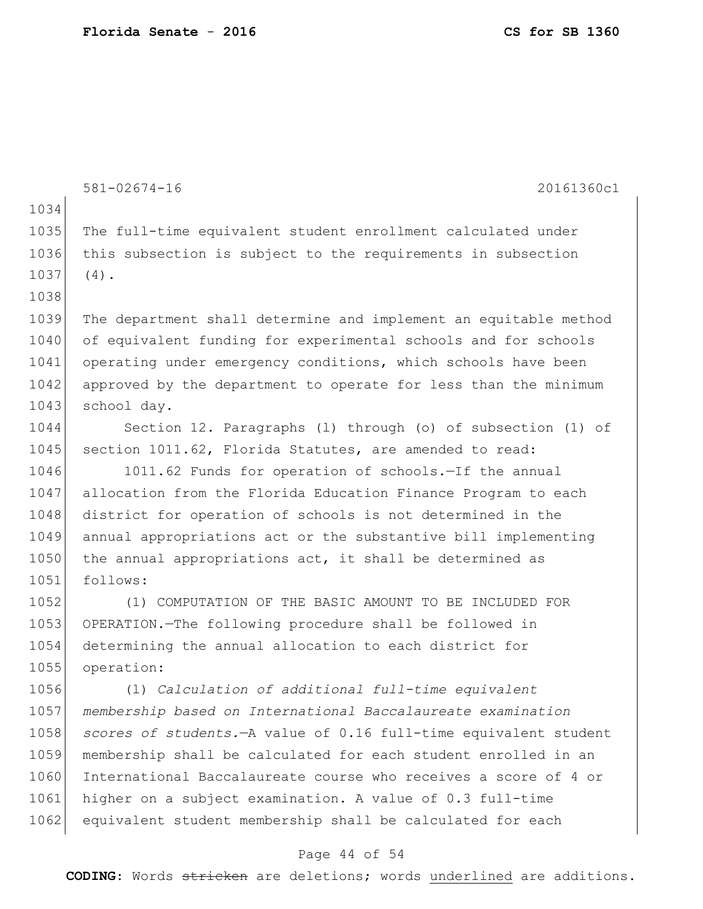581-02674-16 20161360c1 1034 1035 The full-time equivalent student enrollment calculated under 1036 this subsection is subject to the requirements in subsection 1037 (4). 1038 1039 The department shall determine and implement an equitable method 1040 of equivalent funding for experimental schools and for schools 1041 operating under emergency conditions, which schools have been 1042 approved by the department to operate for less than the minimum 1043 school day. 1044 Section 12. Paragraphs (l) through (o) of subsection (1) of 1045 section 1011.62, Florida Statutes, are amended to read: 1046 1011.62 Funds for operation of schools.-If the annual 1047 allocation from the Florida Education Finance Program to each 1048 district for operation of schools is not determined in the 1049 annual appropriations act or the substantive bill implementing 1050 the annual appropriations act, it shall be determined as 1051 follows: 1052 (1) COMPUTATION OF THE BASIC AMOUNT TO BE INCLUDED FOR 1053 OPERATION.—The following procedure shall be followed in 1054 determining the annual allocation to each district for 1055 operation: 1056 (l) *Calculation of additional full-time equivalent*  1057 *membership based on International Baccalaureate examination*  1058 *scores of students.*—A value of 0.16 full-time equivalent student 1059 membership shall be calculated for each student enrolled in an 1060 International Baccalaureate course who receives a score of 4 or 1061 higher on a subject examination. A value of 0.3 full-time 1062 equivalent student membership shall be calculated for each

#### Page 44 of 54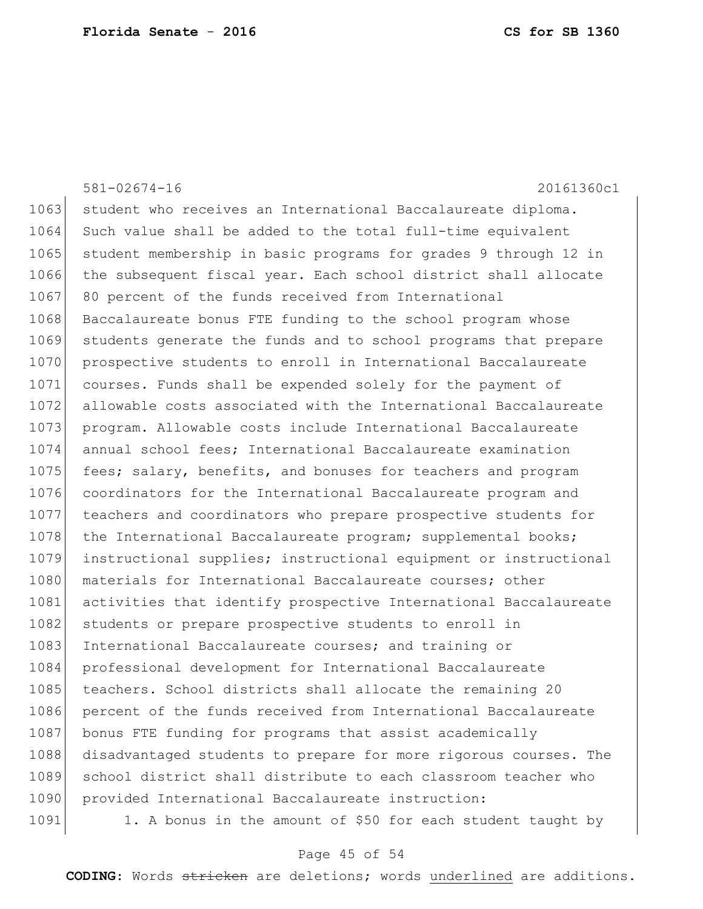|      | $581 - 02674 - 16$<br>20161360c1                                 |
|------|------------------------------------------------------------------|
| 1063 | student who receives an International Baccalaureate diploma.     |
| 1064 | Such value shall be added to the total full-time equivalent      |
| 1065 | student membership in basic programs for grades 9 through 12 in  |
| 1066 | the subsequent fiscal year. Each school district shall allocate  |
| 1067 | 80 percent of the funds received from International              |
| 1068 | Baccalaureate bonus FTE funding to the school program whose      |
| 1069 | students generate the funds and to school programs that prepare  |
| 1070 | prospective students to enroll in International Baccalaureate    |
| 1071 | courses. Funds shall be expended solely for the payment of       |
| 1072 | allowable costs associated with the International Baccalaureate  |
| 1073 | program. Allowable costs include International Baccalaureate     |
| 1074 | annual school fees; International Baccalaureate examination      |
| 1075 | fees; salary, benefits, and bonuses for teachers and program     |
| 1076 | coordinators for the International Baccalaureate program and     |
| 1077 | teachers and coordinators who prepare prospective students for   |
| 1078 | the International Baccalaureate program; supplemental books;     |
| 1079 | instructional supplies; instructional equipment or instructional |
| 1080 | materials for International Baccalaureate courses; other         |
| 1081 | activities that identify prospective International Baccalaureate |
| 1082 | students or prepare prospective students to enroll in            |
| 1083 | International Baccalaureate courses; and training or             |
| 1084 | professional development for International Baccalaureate         |
| 1085 | teachers. School districts shall allocate the remaining 20       |
| 1086 | percent of the funds received from International Baccalaureate   |
| 1087 | bonus FTE funding for programs that assist academically          |
| 1088 | disadvantaged students to prepare for more rigorous courses. The |
| 1089 | school district shall distribute to each classroom teacher who   |
| 1090 | provided International Baccalaureate instruction:                |
| 1091 | 1. A bonus in the amount of \$50 for each student taught by      |

# Page 45 of 54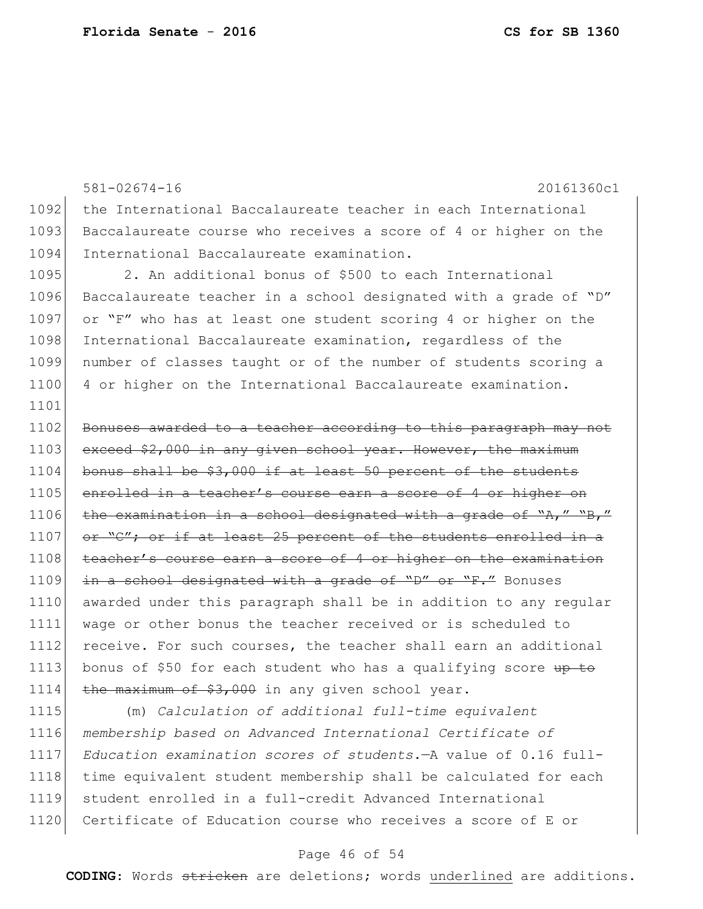581-02674-16 20161360c1 1092 the International Baccalaureate teacher in each International 1093 Baccalaureate course who receives a score of 4 or higher on the 1094 International Baccalaureate examination. 1095 2. An additional bonus of \$500 to each International 1096 Baccalaureate teacher in a school designated with a grade of "D" 1097 or "F" who has at least one student scoring 4 or higher on the 1098 International Baccalaureate examination, regardless of the 1099 number of classes taught or of the number of students scoring a 1100 4 or higher on the International Baccalaureate examination. 1101 1102 Bonuses awarded to a teacher according to this paragraph may not 1103 exceed \$2,000 in any given school year. However, the maximum 1104 bonus shall be \$3,000 if at least 50 percent of the students 1105 enrolled in a teacher's course earn a score of 4 or higher on 1106 the examination in a school designated with a grade of "A," "B," 1107 or "C"; or if at least 25 percent of the students enrolled in a 1108 teacher's course earn a score of 4 or higher on the examination 1109 in a school designated with a grade of "D" or "F." Bonuses 1110 awarded under this paragraph shall be in addition to any regular 1111 wage or other bonus the teacher received or is scheduled to 1112 receive. For such courses, the teacher shall earn an additional 1113 bonus of \$50 for each student who has a qualifying score up to 1114 the maximum of  $$3,000$  in any given school year.

 (m) *Calculation of additional full-time equivalent membership based on Advanced International Certificate of Education examination scores of students.*—A value of 0.16 full-1118 time equivalent student membership shall be calculated for each student enrolled in a full-credit Advanced International 1120 Certificate of Education course who receives a score of E or

### Page 46 of 54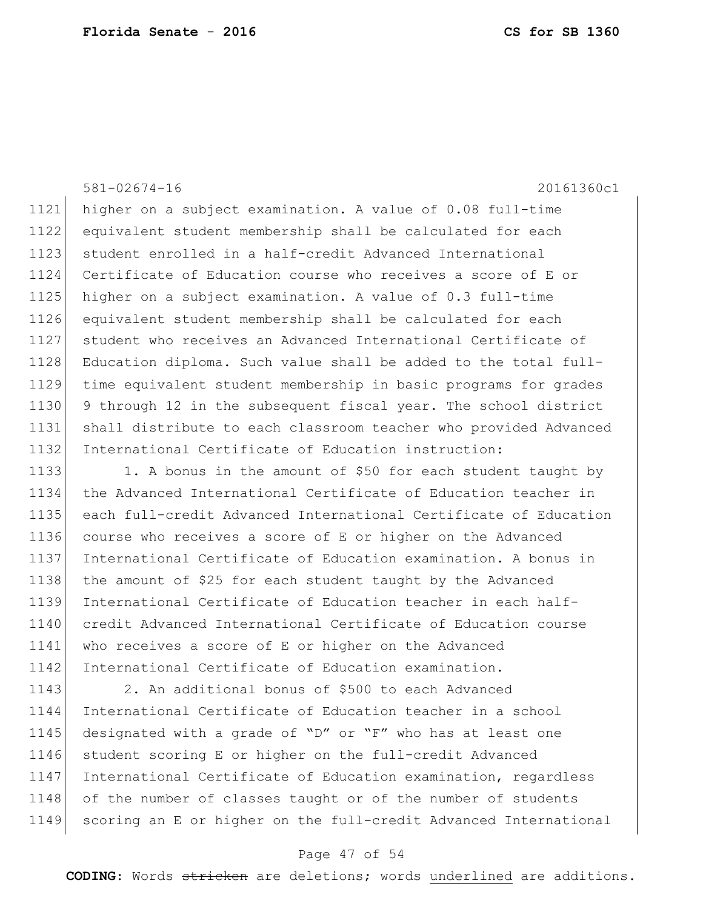581-02674-16 20161360c1 higher on a subject examination. A value of 0.08 full-time equivalent student membership shall be calculated for each 1123 student enrolled in a half-credit Advanced International Certificate of Education course who receives a score of E or higher on a subject examination. A value of 0.3 full-time equivalent student membership shall be calculated for each student who receives an Advanced International Certificate of 1128 Education diploma. Such value shall be added to the total full- time equivalent student membership in basic programs for grades 9 through 12 in the subsequent fiscal year. The school district shall distribute to each classroom teacher who provided Advanced 1132 International Certificate of Education instruction: 1133 1. A bonus in the amount of \$50 for each student taught by

 the Advanced International Certificate of Education teacher in each full-credit Advanced International Certificate of Education course who receives a score of E or higher on the Advanced International Certificate of Education examination. A bonus in 1138 the amount of \$25 for each student taught by the Advanced International Certificate of Education teacher in each half-1140 credit Advanced International Certificate of Education course who receives a score of E or higher on the Advanced 1142 International Certificate of Education examination.

1143 2. An additional bonus of \$500 to each Advanced 1144 International Certificate of Education teacher in a school 1145 designated with a grade of "D" or "F" who has at least one 1146 student scoring E or higher on the full-credit Advanced 1147 International Certificate of Education examination, regardless 1148 of the number of classes taught or of the number of students 1149 scoring an E or higher on the full-credit Advanced International

#### Page 47 of 54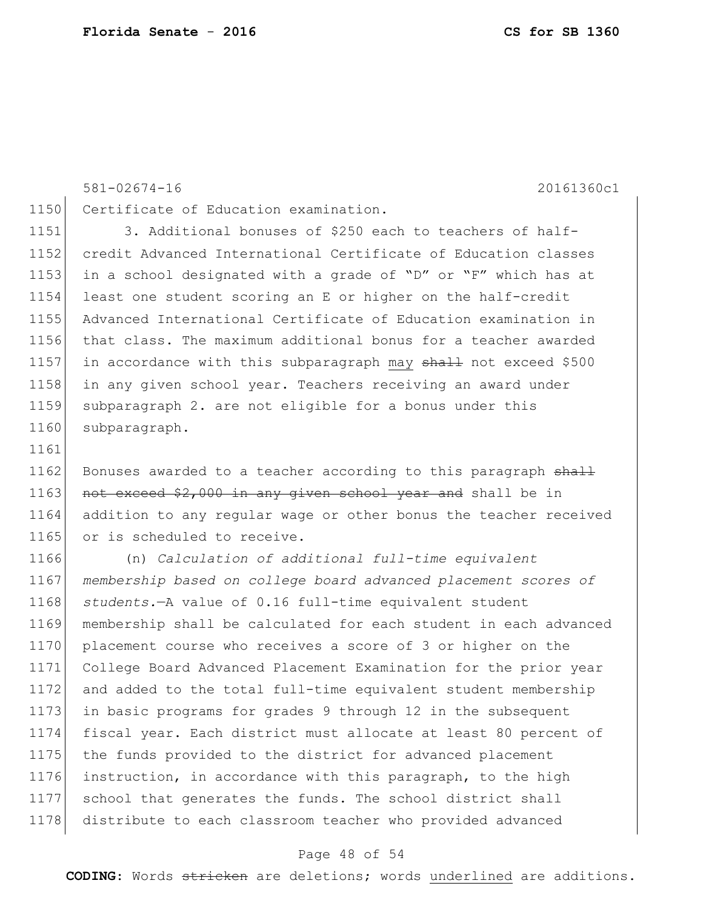#### 581-02674-16 20161360c1

1150 Certificate of Education examination.

 3. Additional bonuses of \$250 each to teachers of half- credit Advanced International Certificate of Education classes in a school designated with a grade of "D" or "F" which has at least one student scoring an E or higher on the half-credit Advanced International Certificate of Education examination in that class. The maximum additional bonus for a teacher awarded 1157 in accordance with this subparagraph may  $\frac{1157}{1000}$  axceed \$500 in any given school year. Teachers receiving an award under subparagraph 2. are not eligible for a bonus under this 1160 subparagraph.

1162 Bonuses awarded to a teacher according to this paragraph shall 1163 not exceed  $$2,000$  in any given school year and shall be in addition to any regular wage or other bonus the teacher received 1165 or is scheduled to receive.

 (n) *Calculation of additional full-time equivalent membership based on college board advanced placement scores of students.*—A value of 0.16 full-time equivalent student membership shall be calculated for each student in each advanced 1170 placement course who receives a score of 3 or higher on the College Board Advanced Placement Examination for the prior year and added to the total full-time equivalent student membership in basic programs for grades 9 through 12 in the subsequent fiscal year. Each district must allocate at least 80 percent of the funds provided to the district for advanced placement instruction, in accordance with this paragraph, to the high school that generates the funds. The school district shall 1178 distribute to each classroom teacher who provided advanced

#### Page 48 of 54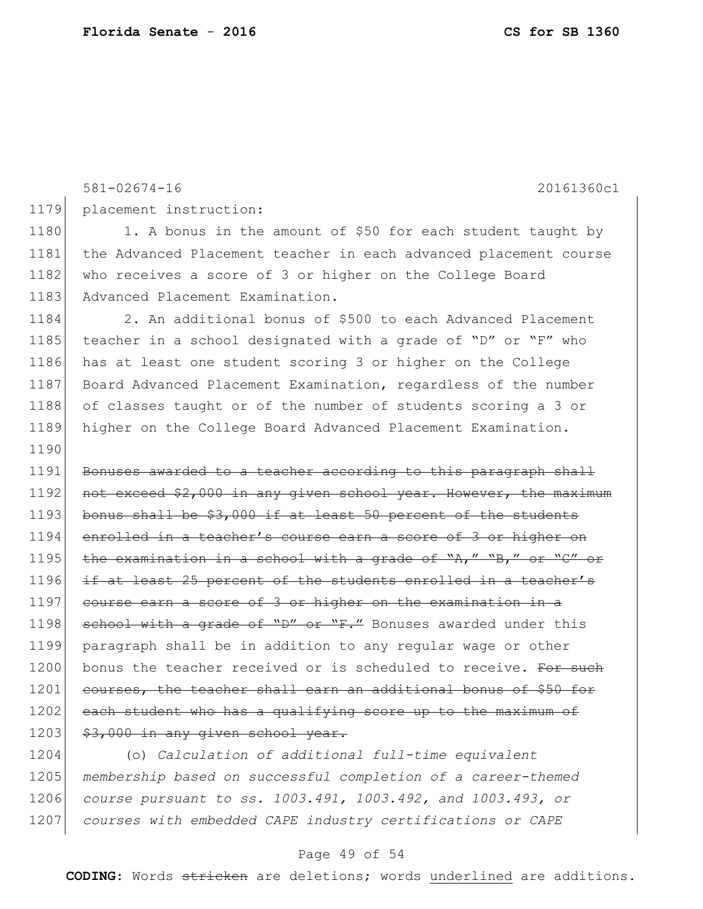```
581-02674-16 20161360c1
1179 placement instruction:
1180 1. A bonus in the amount of $50 for each student taught by
1181 the Advanced Placement teacher in each advanced placement course 
1182 who receives a score of 3 or higher on the College Board
1183 Advanced Placement Examination.
1184 2. An additional bonus of $500 to each Advanced Placement 
1185 teacher in a school designated with a grade of "D" or "F" who 
1186 has at least one student scoring 3 or higher on the College 
1187 Board Advanced Placement Examination, regardless of the number
1188 of classes taught or of the number of students scoring a 3 or
1189 higher on the College Board Advanced Placement Examination.
1190
1191 Bonuses awarded to a teacher according to this paragraph shall
1192 not exceed $2,000 in any given school year. However, the maximum
1193 bonus shall be $3,000 if at least 50 percent of the students
1194 enrolled in a teacher's course earn a score of 3 or higher on
1195 | the examination in a school with a grade of "A," "B," or "C" or
1196 if at least 25 percent of the students enrolled in a teacher's
1197 course earn a score of 3 or higher on the examination in a
1198 school with a grade of "D" or "F." Bonuses awarded under this
1199 paragraph shall be in addition to any regular wage or other 
1200 bonus the teacher received or is scheduled to receive. For such
1201 courses, the teacher shall earn an additional bonus of $50 for
1202 each student who has a qualifying score up to the maximum of
1203 $3,000 in any given school year.
1204 (o) Calculation of additional full-time equivalent
```
1205 *membership based on successful completion of a career-themed*  1206 *course pursuant to ss. 1003.491, 1003.492, and 1003.493, or*  1207 *courses with embedded CAPE industry certifications or CAPE* 

#### Page 49 of 54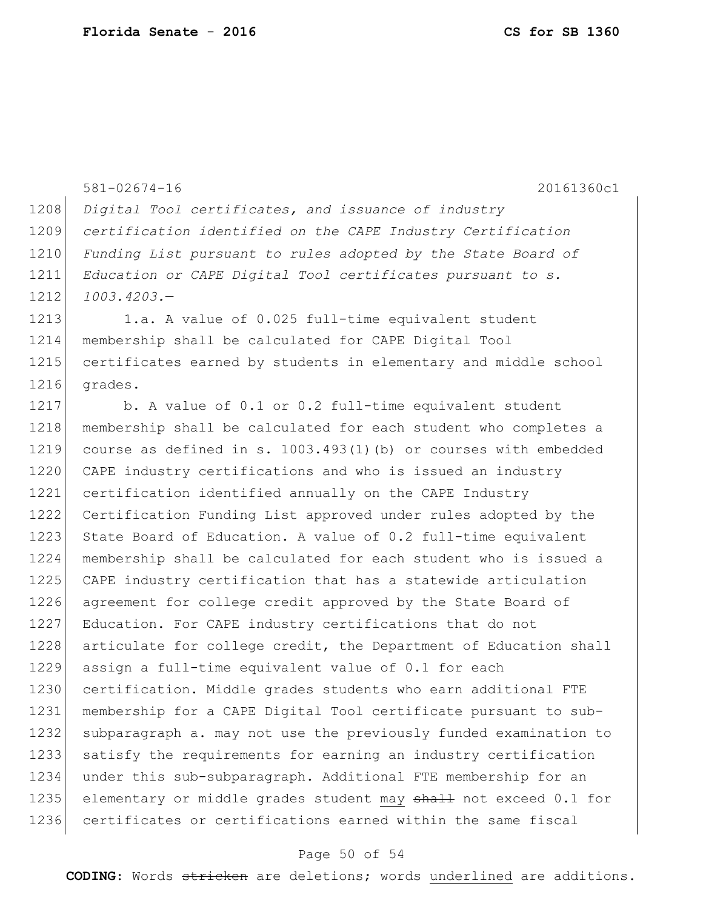```
581-02674-16 20161360c1
1208 Digital Tool certificates, and issuance of industry 
1209 certification identified on the CAPE Industry Certification 
1210 Funding List pursuant to rules adopted by the State Board of 
1211 Education or CAPE Digital Tool certificates pursuant to s. 
1212 1003.4203.—
1213 1.a. A value of 0.025 full-time equivalent student
1214 membership shall be calculated for CAPE Digital Tool 
1215 certificates earned by students in elementary and middle school
1216 grades.
1217 b. A value of 0.1 or 0.2 full-time equivalent student
1218 membership shall be calculated for each student who completes a
1219 course as defined in s. 1003.493(1)(b) or courses with embedded 
1220 CAPE industry certifications and who is issued an industry
1221 certification identified annually on the CAPE Industry
1222 Certification Funding List approved under rules adopted by the 
1223 State Board of Education. A value of 0.2 full-time equivalent
1224 membership shall be calculated for each student who is issued a 
1225 CAPE industry certification that has a statewide articulation 
1226 agreement for college credit approved by the State Board of
1227 Education. For CAPE industry certifications that do not
1228 articulate for college credit, the Department of Education shall
1229 assign a full-time equivalent value of 0.1 for each 
1230 certification. Middle grades students who earn additional FTE
1231 membership for a CAPE Digital Tool certificate pursuant to sub-
1232 subparagraph a. may not use the previously funded examination to 
1233 satisfy the requirements for earning an industry certification 
1234 under this sub-subparagraph. Additional FTE membership for an 
1235 elementary or middle grades student may shall not exceed 0.1 for
1236 certificates or certifications earned within the same fiscal
```
#### Page 50 of 54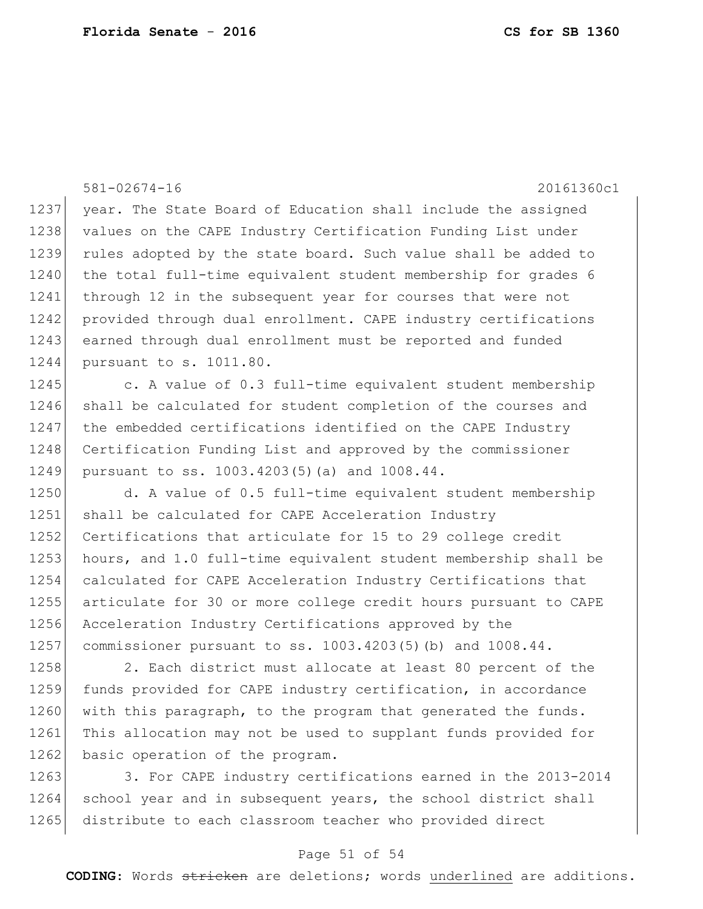|      | $581 - 02674 - 16$<br>20161360c1                                |
|------|-----------------------------------------------------------------|
| 1237 | year. The State Board of Education shall include the assigned   |
| 1238 | values on the CAPE Industry Certification Funding List under    |
| 1239 | rules adopted by the state board. Such value shall be added to  |
| 1240 | the total full-time equivalent student membership for grades 6  |
| 1241 | through 12 in the subsequent year for courses that were not     |
| 1242 | provided through dual enrollment. CAPE industry certifications  |
| 1243 | earned through dual enrollment must be reported and funded      |
| 1244 | pursuant to s. 1011.80.                                         |
| 1245 | c. A value of 0.3 full-time equivalent student membership       |
| 1246 | shall be calculated for student completion of the courses and   |
| 1247 | the embedded certifications identified on the CAPE Industry     |
| 1248 | Certification Funding List and approved by the commissioner     |
| 1249 | pursuant to ss. 1003.4203(5)(a) and 1008.44.                    |
| 1250 | d. A value of 0.5 full-time equivalent student membership       |
| 1251 | shall be calculated for CAPE Acceleration Industry              |
| 1252 | Certifications that articulate for 15 to 29 college credit      |
| 1253 | hours, and 1.0 full-time equivalent student membership shall be |
| 1254 | calculated for CAPE Acceleration Industry Certifications that   |
| 1255 | articulate for 30 or more college credit hours pursuant to CAPE |
| 1256 | Acceleration Industry Certifications approved by the            |
| 1257 | commissioner pursuant to ss. 1003.4203(5)(b) and 1008.44.       |
| 1258 | 2. Each district must allocate at least 80 percent of the       |
| 1259 | funds provided for CAPE industry certification, in accordance   |
| 1260 | with this paragraph, to the program that generated the funds.   |
| 1261 | This allocation may not be used to supplant funds provided for  |
| 1262 | basic operation of the program.                                 |
| 1263 | 3. For CAPE industry certifications earned in the 2013-2014     |
| 1264 | school year and in subsequent years, the school district shall  |

1265 distribute to each classroom teacher who provided direct

### Page 51 of 54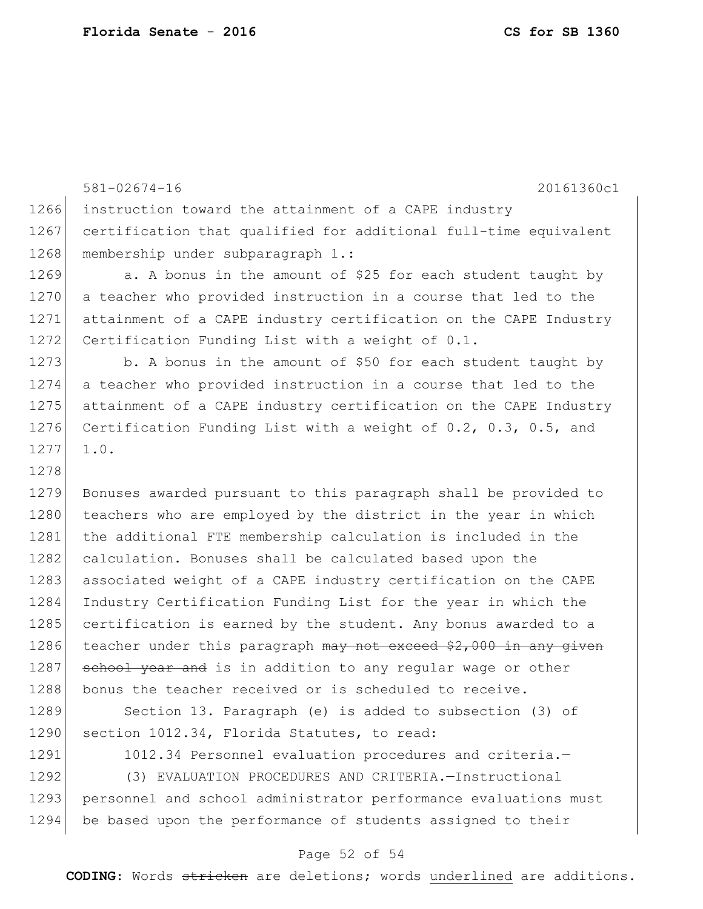581-02674-16 20161360c1 1266 instruction toward the attainment of a CAPE industry 1267 certification that qualified for additional full-time equivalent 1268 membership under subparagraph 1.: 1269 a. A bonus in the amount of \$25 for each student taught by 1270 a teacher who provided instruction in a course that led to the 1271 attainment of a CAPE industry certification on the CAPE Industry 1272 Certification Funding List with a weight of 0.1. 1273 b. A bonus in the amount of \$50 for each student taught by 1274 a teacher who provided instruction in a course that led to the 1275 attainment of a CAPE industry certification on the CAPE Industry 1276 Certification Funding List with a weight of 0.2, 0.3, 0.5, and 1277 1.0. 1278 1279 Bonuses awarded pursuant to this paragraph shall be provided to 1280 teachers who are employed by the district in the year in which 1281 the additional FTE membership calculation is included in the 1282 calculation. Bonuses shall be calculated based upon the 1283 associated weight of a CAPE industry certification on the CAPE 1284 Industry Certification Funding List for the year in which the 1285 certification is earned by the student. Any bonus awarded to a 1286 teacher under this paragraph  $\frac{m}{v}$  not exceed \$2,000 in any given 1287 school year and is in addition to any regular wage or other 1288 bonus the teacher received or is scheduled to receive. 1289 Section 13. Paragraph (e) is added to subsection (3) of 1290 section 1012.34, Florida Statutes, to read: 1291 1012.34 Personnel evaluation procedures and criteria.-

1292 (3) EVALUATION PROCEDURES AND CRITERIA.—Instructional 1293 personnel and school administrator performance evaluations must 1294 be based upon the performance of students assigned to their

#### Page 52 of 54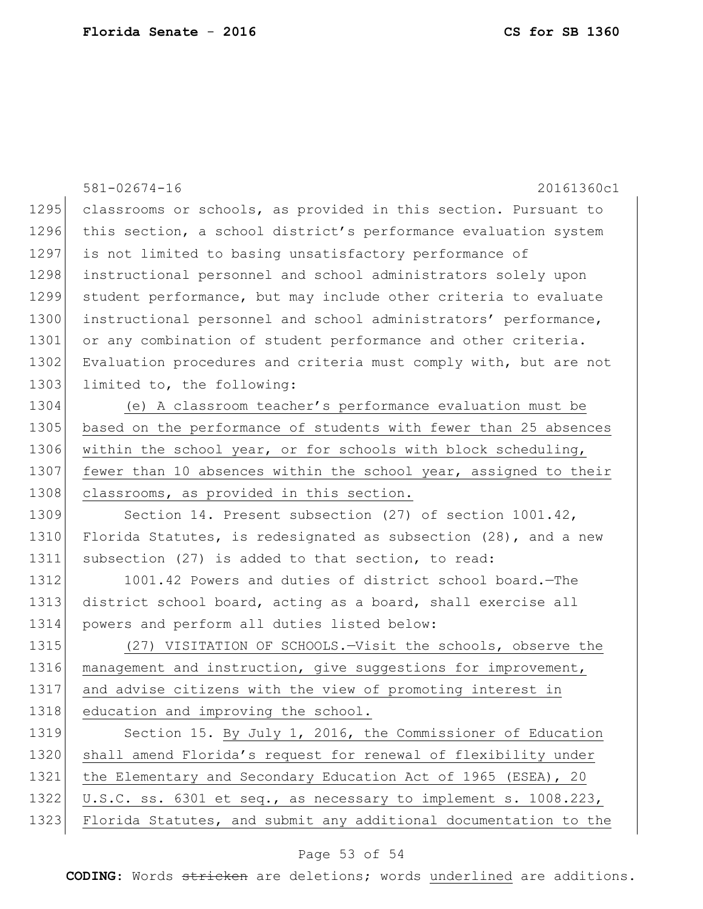|      | $581 - 02674 - 16$<br>20161360c1                                 |
|------|------------------------------------------------------------------|
| 1295 | classrooms or schools, as provided in this section. Pursuant to  |
| 1296 | this section, a school district's performance evaluation system  |
| 1297 | is not limited to basing unsatisfactory performance of           |
| 1298 | instructional personnel and school administrators solely upon    |
| 1299 | student performance, but may include other criteria to evaluate  |
| 1300 | instructional personnel and school administrators' performance,  |
| 1301 | or any combination of student performance and other criteria.    |
| 1302 | Evaluation procedures and criteria must comply with, but are not |
| 1303 | limited to, the following:                                       |
| 1304 | (e) A classroom teacher's performance evaluation must be         |
| 1305 | based on the performance of students with fewer than 25 absences |
| 1306 | within the school year, or for schools with block scheduling,    |
| 1307 | fewer than 10 absences within the school year, assigned to their |
| 1308 | classrooms, as provided in this section.                         |
| 1309 | Section 14. Present subsection (27) of section 1001.42,          |
| 1310 | Florida Statutes, is redesignated as subsection (28), and a new  |
| 1311 | subsection (27) is added to that section, to read:               |
| 1312 | 1001.42 Powers and duties of district school board. - The        |
| 1313 | district school board, acting as a board, shall exercise all     |
| 1314 | powers and perform all duties listed below:                      |
| 1315 | (27) VISITATION OF SCHOOLS. - Visit the schools, observe the     |
| 1316 | management and instruction, give suggestions for improvement,    |
| 1317 | and advise citizens with the view of promoting interest in       |
| 1318 | education and improving the school.                              |
| 1319 | Section 15. By July 1, 2016, the Commissioner of Education       |
| 1320 | shall amend Florida's request for renewal of flexibility under   |
| 1321 | the Elementary and Secondary Education Act of 1965 (ESEA), 20    |
| 1322 | U.S.C. ss. 6301 et seq., as necessary to implement s. 1008.223,  |
| 1323 | Florida Statutes, and submit any additional documentation to the |

# Page 53 of 54